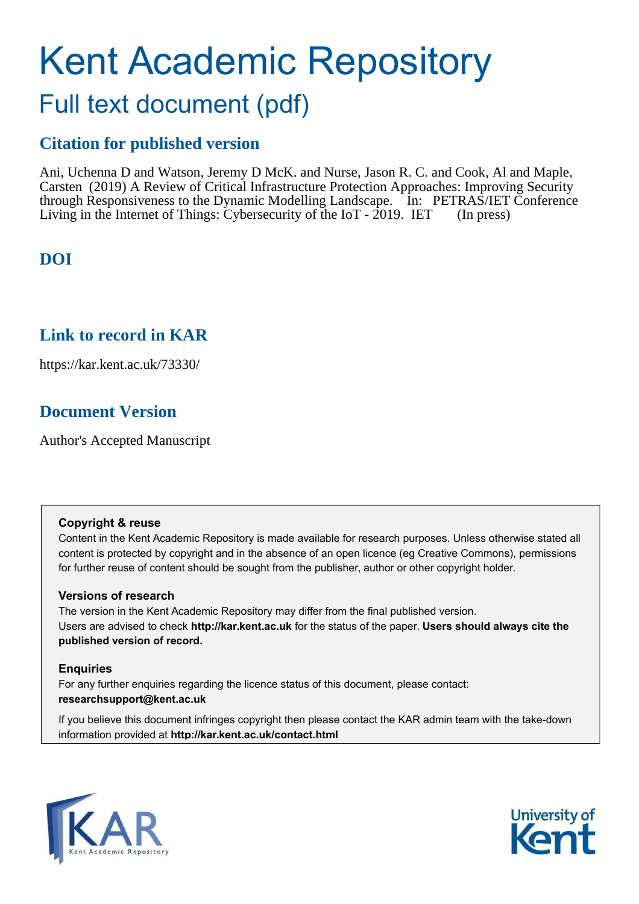# Kent Academic Repository Full text document (pdf)

## **Citation for published version**

Ani, Uchenna D and Watson, Jeremy D McK. and Nurse, Jason R. C. and Cook, Al and Maple, Carsten (2019) A Review of Critical Infrastructure Protection Approaches: Improving Security through Responsiveness to the Dynamic Modelling Landscape. In: PETRAS/IET Conference Living in the Internet of Things: Cybersecurity of the IoT - 2019. IET (In press)

## **DOI**

## **Link to record in KAR**

https://kar.kent.ac.uk/73330/

## **Document Version**

Author's Accepted Manuscript

### **Copyright & reuse**

Content in the Kent Academic Repository is made available for research purposes. Unless otherwise stated all content is protected by copyright and in the absence of an open licence (eg Creative Commons), permissions for further reuse of content should be sought from the publisher, author or other copyright holder.

### **Versions of research**

The version in the Kent Academic Repository may differ from the final published version. Users are advised to check **http://kar.kent.ac.uk** for the status of the paper. **Users should always cite the published version of record.**

### **Enquiries**

For any further enquiries regarding the licence status of this document, please contact: **researchsupport@kent.ac.uk**

If you believe this document infringes copyright then please contact the KAR admin team with the take-down information provided at **http://kar.kent.ac.uk/contact.html**



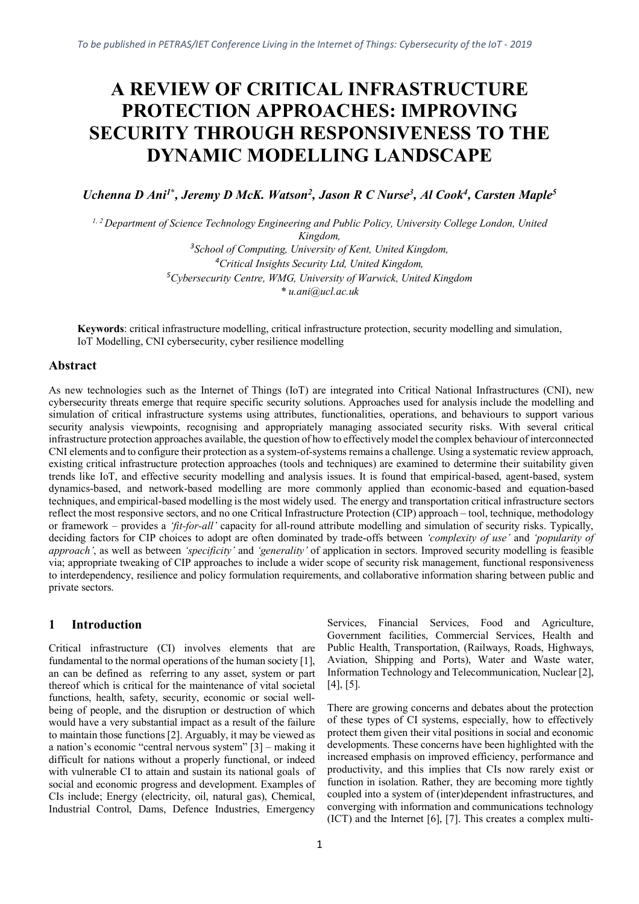## **A REVIEW OF CRITICAL INFRASTRUCTURE PROTECTION APPROACHES: IMPROVING SECURITY THROUGH RESPONSIVENESS TO THE DYNAMIC MODELLING LANDSCAPE**

*Uchenna D Ani<sup>1</sup>***\*** *, Jeremy D McK. Watson<sup>2</sup> , Jason R C Nurse<sup>3</sup> , Al Cook<sup>4</sup> , Carsten Maple<sup>5</sup>*

*1, 2 Department of Science Technology Engineering and Public Policy, University College London, United* 

*Kingdom, 3 School of Computing, University of Kent, United Kingdom, <sup>4</sup>Critical Insights Security Ltd, United Kingdom, <sup>5</sup>Cybersecurity Centre, WMG, University of Warwick, United Kingdom \* u.ani@ucl.ac.uk*

**Keywords**: critical infrastructure modelling, critical infrastructure protection, security modelling and simulation, IoT Modelling, CNI cybersecurity, cyber resilience modelling

#### **Abstract**

As new technologies such as the Internet of Things (IoT) are integrated into Critical National Infrastructures (CNI), new cybersecurity threats emerge that require specific security solutions. Approaches used for analysis include the modelling and simulation of critical infrastructure systems using attributes, functionalities, operations, and behaviours to support various security analysis viewpoints, recognising and appropriately managing associated security risks. With several critical infrastructure protection approaches available, the question of how to effectively model the complex behaviour of interconnected CNI elements and to configure their protection as a system-of-systems remains a challenge. Using a systematic review approach, existing critical infrastructure protection approaches (tools and techniques) are examined to determine their suitability given trends like IoT, and effective security modelling and analysis issues. It is found that empirical-based, agent-based, system dynamics-based, and network-based modelling are more commonly applied than economic-based and equation-based techniques, and empirical-based modelling is the most widely used. The energy and transportation critical infrastructure sectors reflect the most responsive sectors, and no one Critical Infrastructure Protection (CIP) approach – tool, technique, methodology or framework – provides a *'fit-for-all'* capacity for all-round attribute modelling and simulation of security risks. Typically, deciding factors for CIP choices to adopt are often dominated by trade-offs between *'complexity of use'* and *'popularity of approach'*, as well as between *'specificity'* and *'generality'* of application in sectors. Improved security modelling is feasible via; appropriate tweaking of CIP approaches to include a wider scope of security risk management, functional responsiveness to interdependency, resilience and policy formulation requirements, and collaborative information sharing between public and private sectors.

#### **1 Introduction**

Critical infrastructure (CI) involves elements that are fundamental to the normal operations of the human society [1], an can be defined as referring to any asset, system or part thereof which is critical for the maintenance of vital societal functions, health, safety, security, economic or social wellbeing of people, and the disruption or destruction of which would have a very substantial impact as a result of the failure to maintain those functions [2]. Arguably, it may be viewed as a nation's economic "central nervous system" [3] – making it difficult for nations without a properly functional, or indeed with vulnerable CI to attain and sustain its national goals of social and economic progress and development. Examples of CIs include; Energy (electricity, oil, natural gas), Chemical, Industrial Control, Dams, Defence Industries, Emergency

Services, Financial Services, Food and Agriculture, Government facilities, Commercial Services, Health and Public Health, Transportation, (Railways, Roads, Highways, Aviation, Shipping and Ports), Water and Waste water, Information Technology and Telecommunication, Nuclear [2], [4], [5].

There are growing concerns and debates about the protection of these types of CI systems, especially, how to effectively protect them given their vital positions in social and economic developments. These concerns have been highlighted with the increased emphasis on improved efficiency, performance and productivity, and this implies that CIs now rarely exist or function in isolation. Rather, they are becoming more tightly coupled into a system of (inter)dependent infrastructures, and converging with information and communications technology (ICT) and the Internet [6], [7]. This creates a complex multi-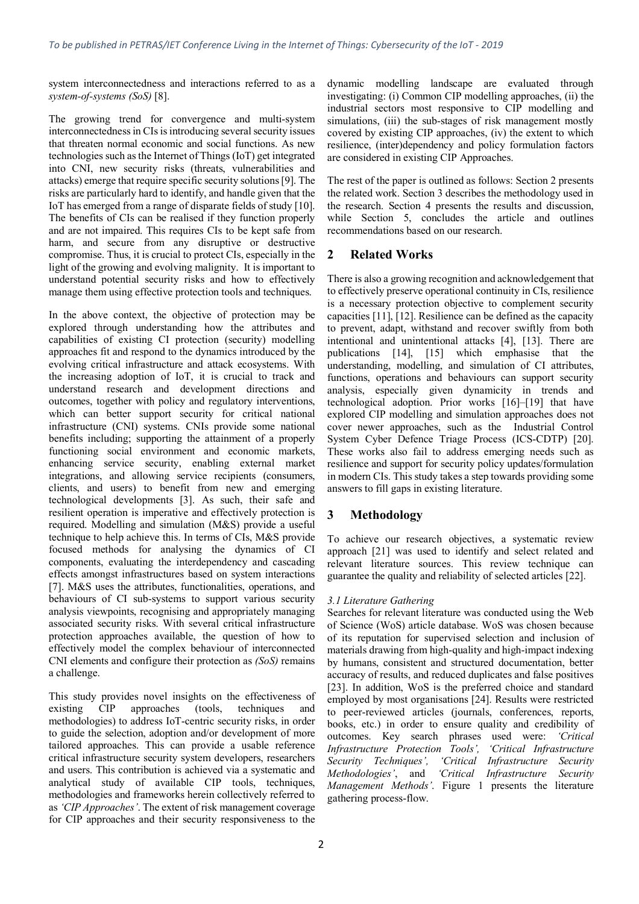system interconnectedness and interactions referred to as a *system-of-systems (SoS)* [8].

The growing trend for convergence and multi-system interconnectedness in CIs is introducing several security issues that threaten normal economic and social functions. As new technologies such as the Internet of Things (IoT) get integrated into CNI, new security risks (threats, vulnerabilities and attacks) emerge that require specific security solutions [9]. The risks are particularly hard to identify, and handle given that the IoT has emerged from a range of disparate fields of study [10]. The benefits of CIs can be realised if they function properly and are not impaired. This requires CIs to be kept safe from harm, and secure from any disruptive or destructive compromise. Thus, it is crucial to protect CIs, especially in the light of the growing and evolving malignity. It is important to understand potential security risks and how to effectively manage them using effective protection tools and techniques.

In the above context, the objective of protection may be explored through understanding how the attributes and capabilities of existing CI protection (security) modelling approaches fit and respond to the dynamics introduced by the evolving critical infrastructure and attack ecosystems. With the increasing adoption of IoT, it is crucial to track and understand research and development directions and outcomes, together with policy and regulatory interventions, which can better support security for critical national infrastructure (CNI) systems. CNIs provide some national benefits including; supporting the attainment of a properly functioning social environment and economic markets, enhancing service security, enabling external market integrations, and allowing service recipients (consumers, clients, and users) to benefit from new and emerging technological developments [3]. As such, their safe and resilient operation is imperative and effectively protection is required. Modelling and simulation (M&S) provide a useful technique to help achieve this. In terms of CIs, M&S provide focused methods for analysing the dynamics of CI components, evaluating the interdependency and cascading effects amongst infrastructures based on system interactions [7]. M&S uses the attributes, functionalities, operations, and behaviours of CI sub-systems to support various security analysis viewpoints, recognising and appropriately managing associated security risks. With several critical infrastructure protection approaches available, the question of how to effectively model the complex behaviour of interconnected CNI elements and configure their protection as *(SoS)* remains a challenge.

This study provides novel insights on the effectiveness of existing CIP approaches (tools, techniques and methodologies) to address IoT-centric security risks, in order to guide the selection, adoption and/or development of more tailored approaches. This can provide a usable reference critical infrastructure security system developers, researchers and users. This contribution is achieved via a systematic and analytical study of available CIP tools, techniques, methodologies and frameworks herein collectively referred to as *'CIP Approaches'*. The extent of risk management coverage for CIP approaches and their security responsiveness to the dynamic modelling landscape are evaluated through investigating: (i) Common CIP modelling approaches, (ii) the industrial sectors most responsive to CIP modelling and simulations, (iii) the sub-stages of risk management mostly covered by existing CIP approaches, (iv) the extent to which resilience, (inter)dependency and policy formulation factors are considered in existing CIP Approaches.

The rest of the paper is outlined as follows: Section 2 presents the related work. Section 3 describes the methodology used in the research. Section 4 presents the results and discussion, while Section 5, concludes the article and outlines recommendations based on our research.

#### **2 Related Works**

There is also a growing recognition and acknowledgement that to effectively preserve operational continuity in CIs, resilience is a necessary protection objective to complement security capacities [11], [12]. Resilience can be defined as the capacity to prevent, adapt, withstand and recover swiftly from both intentional and unintentional attacks [4], [13]. There are publications [14], [15] which emphasise that the understanding, modelling, and simulation of CI attributes, functions, operations and behaviours can support security analysis, especially given dynamicity in trends and technological adoption. Prior works [16]–[19] that have explored CIP modelling and simulation approaches does not cover newer approaches, such as the Industrial Control System Cyber Defence Triage Process (ICS-CDTP) [20]. These works also fail to address emerging needs such as resilience and support for security policy updates/formulation in modern CIs. This study takes a step towards providing some answers to fill gaps in existing literature.

#### **3 Methodology**

To achieve our research objectives, a systematic review approach [21] was used to identify and select related and relevant literature sources. This review technique can guarantee the quality and reliability of selected articles [22].

#### *3.1 Literature Gathering*

Searches for relevant literature was conducted using the Web of Science (WoS) article database. WoS was chosen because of its reputation for supervised selection and inclusion of materials drawing from high-quality and high-impact indexing by humans, consistent and structured documentation, better accuracy of results, and reduced duplicates and false positives [23]. In addition, WoS is the preferred choice and standard employed by most organisations [24]. Results were restricted to peer-reviewed articles (journals, conferences, reports, books, etc.) in order to ensure quality and credibility of outcomes. Key search phrases used were: *'Critical Infrastructure Protection Tools', 'Critical Infrastructure Security Techniques', 'Critical Infrastructure Security Methodologies'*, and *'Critical Infrastructure Security Management Methods'*. Figure 1 presents the literature gathering process-flow.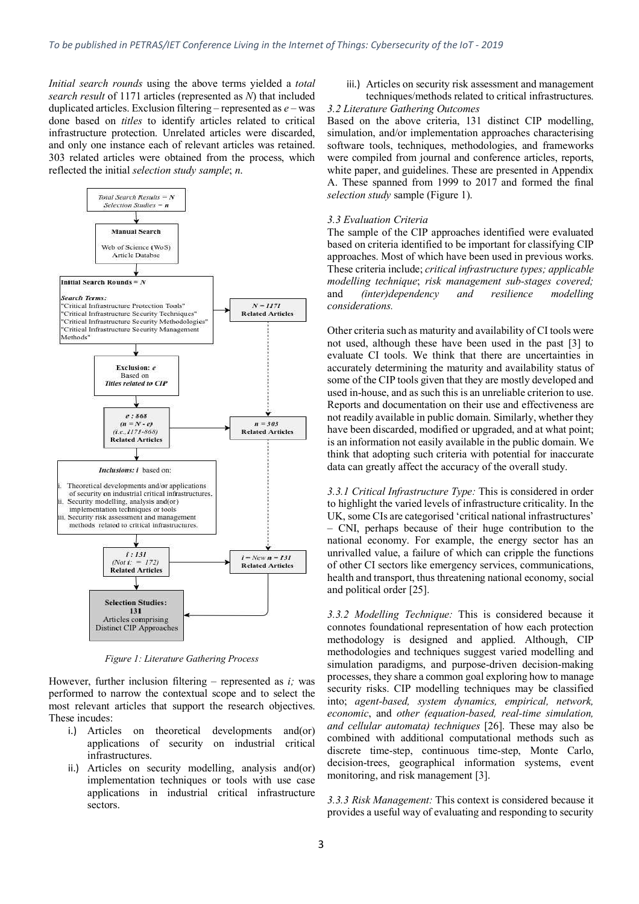*Initial search rounds* using the above terms yielded a *total search result* of 1171 articles (represented as *N*) that included duplicated articles. Exclusion filtering – represented as *e* – was done based on *titles* to identify articles related to critical infrastructure protection. Unrelated articles were discarded, and only one instance each of relevant articles was retained. 303 related articles were obtained from the process, which reflected the initial *selection study sample*; *n*.



*Figure 1: Literature Gathering Process*

However, further inclusion filtering – represented as *i;* was performed to narrow the contextual scope and to select the most relevant articles that support the research objectives. These incudes:

- i.) Articles on theoretical developments and(or) applications of security on industrial critical infrastructures.
- ii.) Articles on security modelling, analysis and(or) implementation techniques or tools with use case applications in industrial critical infrastructure sectors.

iii.) Articles on security risk assessment and management techniques/methods related to critical infrastructures.

#### *3.2 Literature Gathering Outcomes*

Based on the above criteria, 131 distinct CIP modelling, simulation, and/or implementation approaches characterising software tools, techniques, methodologies, and frameworks were compiled from journal and conference articles, reports, white paper, and guidelines. These are presented in Appendix A. These spanned from 1999 to 2017 and formed the final *selection study* sample (Figure 1).

#### *3.3 Evaluation Criteria*

The sample of the CIP approaches identified were evaluated based on criteria identified to be important for classifying CIP approaches. Most of which have been used in previous works. These criteria include; *critical infrastructure types; applicable modelling technique*; *risk management sub-stages covered;*  and *(inter)dependency and resilience modelling considerations.*

Other criteria such as maturity and availability of CI tools were not used, although these have been used in the past [3] to evaluate CI tools. We think that there are uncertainties in accurately determining the maturity and availability status of some of the CIP tools given that they are mostly developed and used in-house, and as such this is an unreliable criterion to use. Reports and documentation on their use and effectiveness are not readily available in public domain. Similarly, whether they have been discarded, modified or upgraded, and at what point; is an information not easily available in the public domain. We think that adopting such criteria with potential for inaccurate data can greatly affect the accuracy of the overall study.

*3.3.1 Critical Infrastructure Type:* This is considered in order to highlight the varied levels of infrastructure criticality. In the UK, some CIs are categorised 'critical national infrastructures' – CNI, perhaps because of their huge contribution to the national economy. For example, the energy sector has an unrivalled value, a failure of which can cripple the functions of other CI sectors like emergency services, communications, health and transport, thus threatening national economy, social and political order [25].

*3.3.2 Modelling Technique:* This is considered because it connotes foundational representation of how each protection methodology is designed and applied. Although, CIP methodologies and techniques suggest varied modelling and simulation paradigms, and purpose-driven decision-making processes, they share a common goal exploring how to manage security risks. CIP modelling techniques may be classified into; *agent-based, system dynamics, empirical, network, economic*, and *other (equation-based, real-time simulation, and cellular automata) techniques* [26]. These may also be combined with additional computational methods such as discrete time-step, continuous time-step, Monte Carlo, decision-trees, geographical information systems, event monitoring, and risk management [3].

*3.3.3 Risk Management:* This context is considered because it provides a useful way of evaluating and responding to security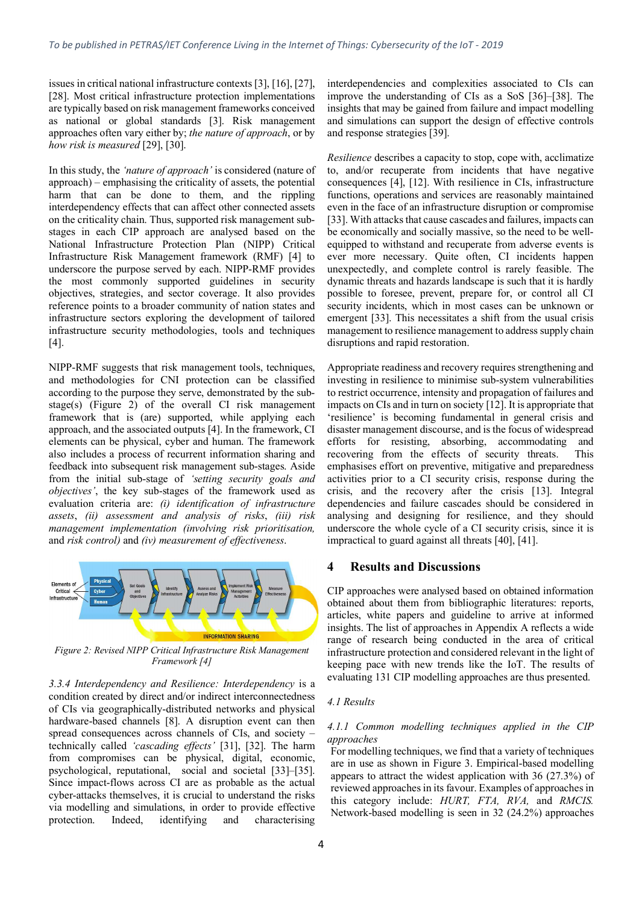issues in critical national infrastructure contexts [3], [16], [27], [28]. Most critical infrastructure protection implementations are typically based on risk management frameworks conceived as national or global standards [3]. Risk management approaches often vary either by; *the nature of approach*, or by *how risk is measured* [29], [30].

In this study, the *'nature of approach'* is considered (nature of approach) – emphasising the criticality of assets, the potential harm that can be done to them, and the rippling interdependency effects that can affect other connected assets on the criticality chain. Thus, supported risk management substages in each CIP approach are analysed based on the National Infrastructure Protection Plan (NIPP) Critical Infrastructure Risk Management framework (RMF) [4] to underscore the purpose served by each. NIPP-RMF provides the most commonly supported guidelines in security objectives, strategies, and sector coverage. It also provides reference points to a broader community of nation states and infrastructure sectors exploring the development of tailored infrastructure security methodologies, tools and techniques [4].

NIPP-RMF suggests that risk management tools, techniques, and methodologies for CNI protection can be classified according to the purpose they serve, demonstrated by the substage(s) (Figure 2) of the overall CI risk management framework that is (are) supported, while applying each approach, and the associated outputs [4]. In the framework, CI elements can be physical, cyber and human. The framework also includes a process of recurrent information sharing and feedback into subsequent risk management sub-stages. Aside from the initial sub-stage of *'setting security goals and objectives'*, the key sub-stages of the framework used as evaluation criteria are: *(i) identification of infrastructure assets*, *(ii) assessment and analysis of risks*, *(iii) risk management implementation (involving risk prioritisation,* and *risk control)* and *(iv) measurement of effectiveness*.



*Figure 2: Revised NIPP Critical Infrastructure Risk Management Framework [4]*

*3.3.4 Interdependency and Resilience: Interdependency* is a condition created by direct and/or indirect interconnectedness of CIs via geographically-distributed networks and physical hardware-based channels [8]. A disruption event can then spread consequences across channels of CIs, and society – technically called *'cascading effects'* [31], [32]. The harm from compromises can be physical, digital, economic, psychological, reputational, social and societal [33]–[35]. Since impact-flows across CI are as probable as the actual cyber-attacks themselves, it is crucial to understand the risks via modelling and simulations, in order to provide effective protection. Indeed, identifying and characterising interdependencies and complexities associated to CIs can improve the understanding of CIs as a SoS [36]–[38]. The insights that may be gained from failure and impact modelling and simulations can support the design of effective controls and response strategies [39].

*Resilience* describes a capacity to stop, cope with, acclimatize to, and/or recuperate from incidents that have negative consequences [4], [12]. With resilience in CIs, infrastructure functions, operations and services are reasonably maintained even in the face of an infrastructure disruption or compromise [33]. With attacks that cause cascades and failures, impacts can be economically and socially massive, so the need to be wellequipped to withstand and recuperate from adverse events is ever more necessary. Quite often, CI incidents happen unexpectedly, and complete control is rarely feasible. The dynamic threats and hazards landscape is such that it is hardly possible to foresee, prevent, prepare for, or control all CI security incidents, which in most cases can be unknown or emergent [33]. This necessitates a shift from the usual crisis management to resilience management to address supply chain disruptions and rapid restoration.

Appropriate readiness and recovery requires strengthening and investing in resilience to minimise sub-system vulnerabilities to restrict occurrence, intensity and propagation of failures and impacts on CIs and in turn on society [12]. It is appropriate that 'resilience' is becoming fundamental in general crisis and disaster management discourse, and is the focus of widespread efforts for resisting, absorbing, accommodating and recovering from the effects of security threats. This emphasises effort on preventive, mitigative and preparedness activities prior to a CI security crisis, response during the crisis, and the recovery after the crisis [13]. Integral dependencies and failure cascades should be considered in analysing and designing for resilience, and they should underscore the whole cycle of a CI security crisis, since it is impractical to guard against all threats [40], [41].

#### **4 Results and Discussions**

CIP approaches were analysed based on obtained information obtained about them from bibliographic literatures: reports, articles, white papers and guideline to arrive at informed insights. The list of approaches in Appendix A reflects a wide range of research being conducted in the area of critical infrastructure protection and considered relevant in the light of keeping pace with new trends like the IoT. The results of evaluating 131 CIP modelling approaches are thus presented.

#### *4.1 Results*

#### *4.1.1 Common modelling techniques applied in the CIP approaches*

For modelling techniques, we find that a variety of techniques are in use as shown in Figure 3. Empirical-based modelling appears to attract the widest application with 36 (27.3%) of reviewed approaches in its favour. Examples of approaches in this category include: *HURT, FTA, RVA,* and *RMCIS.* Network-based modelling is seen in 32 (24.2%) approaches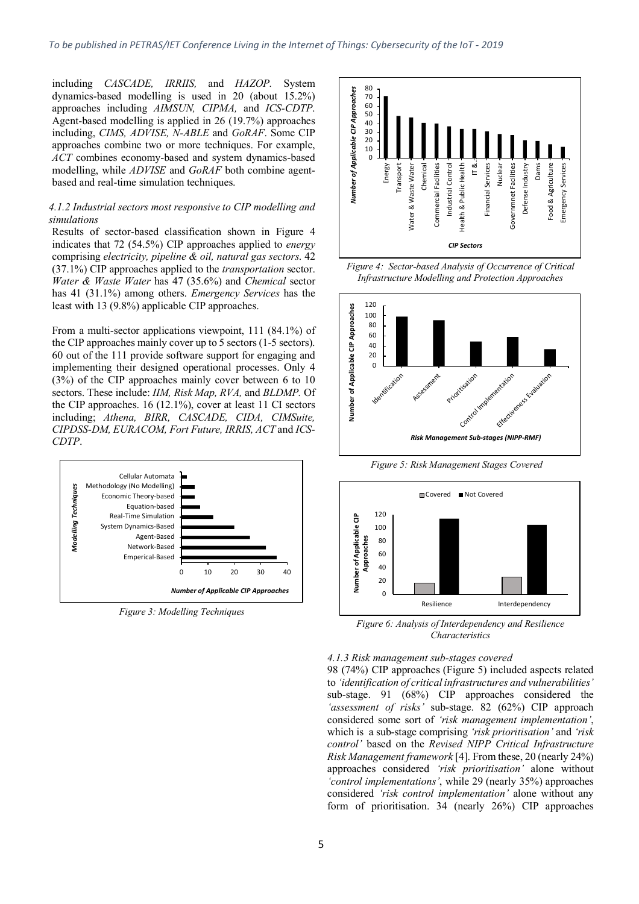including *CASCADE, IRRIIS,* and *HAZOP.* System dynamics-based modelling is used in 20 (about 15.2%) approaches including *AIMSUN, CIPMA,* and *ICS-CDTP*. Agent-based modelling is applied in 26 (19.7%) approaches including, *CIMS, ADVISE, N-ABLE* and *GoRAF*. Some CIP approaches combine two or more techniques. For example, *ACT* combines economy-based and system dynamics-based modelling, while *ADVISE* and *GoRAF* both combine agentbased and real-time simulation techniques.

#### *4.1.2 Industrial sectors most responsive to CIP modelling and simulations*

Results of sector-based classification shown in Figure 4 indicates that 72 (54.5%) CIP approaches applied to *energy* comprising *electricity, pipeline & oil, natural gas sectors*. 42 (37.1%) CIP approaches applied to the *transportation* sector. *Water & Waste Water* has 47 (35.6%) and *Chemical* sector has 41 (31.1%) among others. *Emergency Services* has the least with 13 (9.8%) applicable CIP approaches.

From a multi-sector applications viewpoint, 111 (84.1%) of the CIP approaches mainly cover up to 5 sectors (1-5 sectors). 60 out of the 111 provide software support for engaging and implementing their designed operational processes. Only 4 (3%) of the CIP approaches mainly cover between 6 to 10 sectors. These include: *IIM, Risk Map, RVA,* and *BLDMP.* Of the CIP approaches. 16 (12.1%), cover at least 11 CI sectors including; *Athena, BIRR, CASCADE, CIDA, CIMSuite, CIPDSS-DM, EURACOM, Fort Future, IRRIS, ACT* and *ICS-CDTP*.



*Figure 3: Modelling Techniques*



*Figure 4: Sector-based Analysis of Occurrence of Critical Infrastructure Modelling and Protection Approaches*



*Figure 5: Risk Management Stages Covered*



*Figure 6: Analysis of Interdependency and Resilience Characteristics*

#### *4.1.3 Risk management sub-stages covered*

98 (74%) CIP approaches (Figure 5) included aspects related to *'identification of critical infrastructures and vulnerabilities'* sub-stage. 91 (68%) CIP approaches considered the *'assessment of risks'* sub-stage. 82 (62%) CIP approach considered some sort of *'risk management implementation'*, which is a sub-stage comprising *'risk prioritisation'* and *'risk control'* based on the *Revised NIPP Critical Infrastructure Risk Management framework* [4]. From these, 20 (nearly 24%) approaches considered *'risk prioritisation'* alone without *'control implementations'*, while 29 (nearly 35%) approaches considered *'risk control implementation'* alone without any form of prioritisation. 34 (nearly 26%) CIP approaches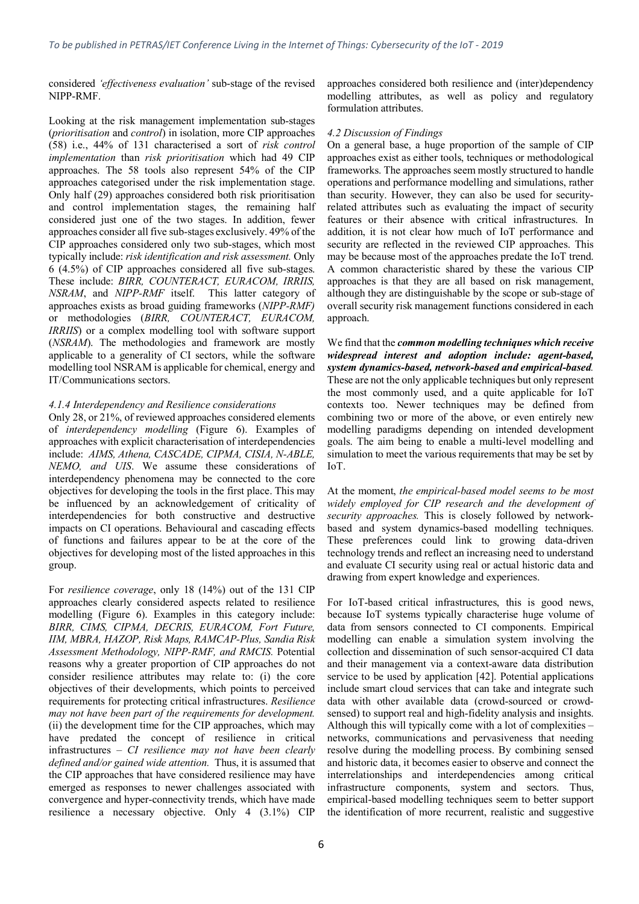considered *'effectiveness evaluation'* sub-stage of the revised NIPP-RMF.

Looking at the risk management implementation sub-stages (*prioritisation* and *control*) in isolation, more CIP approaches (58) i.e., 44% of 131 characterised a sort of *risk control implementation* than *risk prioritisation* which had 49 CIP approaches. The 58 tools also represent 54% of the CIP approaches categorised under the risk implementation stage. Only half (29) approaches considered both risk prioritisation and control implementation stages, the remaining half considered just one of the two stages. In addition, fewer approaches consider all five sub-stages exclusively. 49% of the CIP approaches considered only two sub-stages, which most typically include: *risk identification and risk assessment.* Only 6 (4.5%) of CIP approaches considered all five sub-stages. These include: *BIRR, COUNTERACT, EURACOM, IRRIIS, NSRAM*, and *NIPP-RMF* itself. This latter category of approaches exists as broad guiding frameworks (*NIPP-RMF)* or methodologies (*BIRR, COUNTERACT, EURACOM, IRRIIS*) or a complex modelling tool with software support (*NSRAM*). The methodologies and framework are mostly applicable to a generality of CI sectors, while the software modelling tool NSRAM is applicable for chemical, energy and IT/Communications sectors.

#### *4.1.4 Interdependency and Resilience considerations*

Only 28, or 21%, of reviewed approaches considered elements of *interdependency modelling* (Figure 6). Examples of approaches with explicit characterisation of interdependencies include: *AIMS, Athena, CASCADE, CIPMA, CISIA, N-ABLE, NEMO, and UIS*. We assume these considerations of interdependency phenomena may be connected to the core objectives for developing the tools in the first place. This may be influenced by an acknowledgement of criticality of interdependencies for both constructive and destructive impacts on CI operations. Behavioural and cascading effects of functions and failures appear to be at the core of the objectives for developing most of the listed approaches in this group.

For *resilience coverage*, only 18 (14%) out of the 131 CIP approaches clearly considered aspects related to resilience modelling (Figure 6). Examples in this category include: *BIRR, CIMS, CIPMA, DECRIS, EURACOM, Fort Future, IIM, MBRA, HAZOP, Risk Maps, RAMCAP-Plus, Sandia Risk Assessment Methodology, NIPP-RMF, and RMCIS.* Potential reasons why a greater proportion of CIP approaches do not consider resilience attributes may relate to: (i) the core objectives of their developments, which points to perceived requirements for protecting critical infrastructures. *Resilience may not have been part of the requirements for development.* (ii) the development time for the CIP approaches, which may have predated the concept of resilience in critical infrastructures – *CI resilience may not have been clearly defined and/or gained wide attention.* Thus, it is assumed that the CIP approaches that have considered resilience may have emerged as responses to newer challenges associated with convergence and hyper-connectivity trends, which have made resilience a necessary objective. Only 4 (3.1%) CIP approaches considered both resilience and (inter)dependency modelling attributes, as well as policy and regulatory formulation attributes.

#### *4.2 Discussion of Findings*

On a general base, a huge proportion of the sample of CIP approaches exist as either tools, techniques or methodological frameworks. The approaches seem mostly structured to handle operations and performance modelling and simulations, rather than security. However, they can also be used for securityrelated attributes such as evaluating the impact of security features or their absence with critical infrastructures. In addition, it is not clear how much of IoT performance and security are reflected in the reviewed CIP approaches. This may be because most of the approaches predate the IoT trend. A common characteristic shared by these the various CIP approaches is that they are all based on risk management, although they are distinguishable by the scope or sub-stage of overall security risk management functions considered in each approach.

We find that the *common modelling techniques which receive widespread interest and adoption include: agent-based, system dynamics-based, network-based and empirical-based.* These are not the only applicable techniques but only represent the most commonly used, and a quite applicable for IoT contexts too. Newer techniques may be defined from combining two or more of the above, or even entirely new modelling paradigms depending on intended development goals. The aim being to enable a multi-level modelling and simulation to meet the various requirements that may be set by IoT.

At the moment, *the empirical-based model seems to be most widely employed for CIP research and the development of security approaches.* This is closely followed by networkbased and system dynamics-based modelling techniques. These preferences could link to growing data-driven technology trends and reflect an increasing need to understand and evaluate CI security using real or actual historic data and drawing from expert knowledge and experiences.

For IoT-based critical infrastructures, this is good news, because IoT systems typically characterise huge volume of data from sensors connected to CI components. Empirical modelling can enable a simulation system involving the collection and dissemination of such sensor-acquired CI data and their management via a context-aware data distribution service to be used by application [42]. Potential applications include smart cloud services that can take and integrate such data with other available data (crowd-sourced or crowdsensed) to support real and high-fidelity analysis and insights. Although this will typically come with a lot of complexities – networks, communications and pervasiveness that needing resolve during the modelling process. By combining sensed and historic data, it becomes easier to observe and connect the interrelationships and interdependencies among critical infrastructure components, system and sectors. Thus, empirical-based modelling techniques seem to better support the identification of more recurrent, realistic and suggestive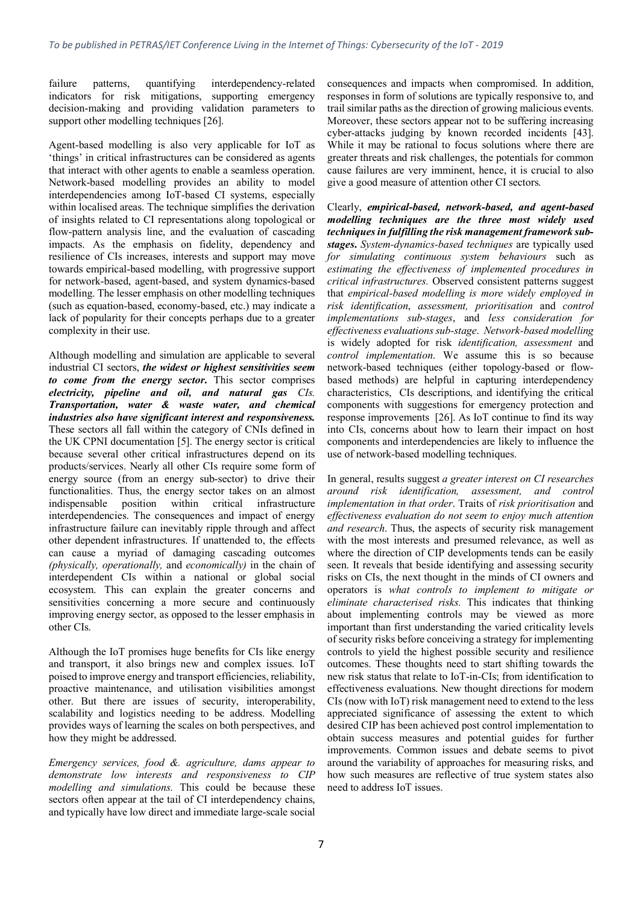failure patterns, quantifying interdependency-related indicators for risk mitigations, supporting emergency decision-making and providing validation parameters to support other modelling techniques [26].

Agent-based modelling is also very applicable for IoT as 'things' in critical infrastructures can be considered as agents that interact with other agents to enable a seamless operation. Network-based modelling provides an ability to model interdependencies among IoT-based CI systems, especially within localised areas. The technique simplifies the derivation of insights related to CI representations along topological or flow-pattern analysis line, and the evaluation of cascading impacts. As the emphasis on fidelity, dependency and resilience of CIs increases, interests and support may move towards empirical-based modelling, with progressive support for network-based, agent-based, and system dynamics-based modelling. The lesser emphasis on other modelling techniques (such as equation-based, economy-based, etc.) may indicate a lack of popularity for their concepts perhaps due to a greater complexity in their use.

Although modelling and simulation are applicable to several industrial CI sectors, *the widest or highest sensitivities seem to come from the energy sector***.** This sector comprises *electricity, pipeline and oil, and natural gas CIs. Transportation, water & waste water, and chemical industries also have significant interest and responsiveness.* These sectors all fall within the category of CNIs defined in the UK CPNI documentation [5]. The energy sector is critical because several other critical infrastructures depend on its products/services. Nearly all other CIs require some form of energy source (from an energy sub-sector) to drive their functionalities. Thus, the energy sector takes on an almost indispensable position within critical infrastructure interdependencies. The consequences and impact of energy infrastructure failure can inevitably ripple through and affect other dependent infrastructures. If unattended to, the effects can cause a myriad of damaging cascading outcomes *(physically, operationally,* and *economically)* in the chain of interdependent CIs within a national or global social ecosystem. This can explain the greater concerns and sensitivities concerning a more secure and continuously improving energy sector, as opposed to the lesser emphasis in other CIs.

Although the IoT promises huge benefits for CIs like energy and transport, it also brings new and complex issues. IoT poised to improve energy and transport efficiencies, reliability, proactive maintenance, and utilisation visibilities amongst other. But there are issues of security, interoperability, scalability and logistics needing to be address. Modelling provides ways of learning the scales on both perspectives, and how they might be addressed.

*Emergency services, food &. agriculture, dams appear to demonstrate low interests and responsiveness to CIP modelling and simulations.* This could be because these sectors often appear at the tail of CI interdependency chains, and typically have low direct and immediate large-scale social

consequences and impacts when compromised. In addition, responses in form of solutions are typically responsive to, and trail similar paths as the direction of growing malicious events. Moreover, these sectors appear not to be suffering increasing cyber-attacks judging by known recorded incidents [43]. While it may be rational to focus solutions where there are greater threats and risk challenges, the potentials for common cause failures are very imminent, hence, it is crucial to also give a good measure of attention other CI sectors.

Clearly, *empirical-based, network-based, and agent-based modelling techniques are the three most widely used techniques in fulfilling the risk management framework substages***.** *System-dynamics-based techniques* are typically used *for simulating continuous system behaviours* such as *estimating the effectiveness of implemented procedures in critical infrastructures.* Observed consistent patterns suggest that *empirical-based modelling is more widely employed in risk identification*, *assessment, prioritisation* and *control implementations sub-stages*, and *less consideration for effectiveness evaluations sub-stage*. *Network-based modelling* is widely adopted for risk *identification, assessment* and *control implementation*. We assume this is so because network-based techniques (either topology-based or flowbased methods) are helpful in capturing interdependency characteristics, CIs descriptions, and identifying the critical components with suggestions for emergency protection and response improvements [26]. As IoT continue to find its way into CIs, concerns about how to learn their impact on host components and interdependencies are likely to influence the use of network-based modelling techniques.

In general, results suggest *a greater interest on CI researches around risk identification, assessment, and control implementation in that order*. Traits of *risk prioritisation* and *effectiveness evaluation do not seem to enjoy much attention and research*. Thus, the aspects of security risk management with the most interests and presumed relevance, as well as where the direction of CIP developments tends can be easily seen. It reveals that beside identifying and assessing security risks on CIs, the next thought in the minds of CI owners and operators is *what controls to implement to mitigate or eliminate characterised risks.* This indicates that thinking about implementing controls may be viewed as more important than first understanding the varied criticality levels of security risks before conceiving a strategy for implementing controls to yield the highest possible security and resilience outcomes. These thoughts need to start shifting towards the new risk status that relate to IoT-in-CIs; from identification to effectiveness evaluations. New thought directions for modern CIs (now with IoT) risk management need to extend to the less appreciated significance of assessing the extent to which desired CIP has been achieved post control implementation to obtain success measures and potential guides for further improvements. Common issues and debate seems to pivot around the variability of approaches for measuring risks, and how such measures are reflective of true system states also need to address IoT issues.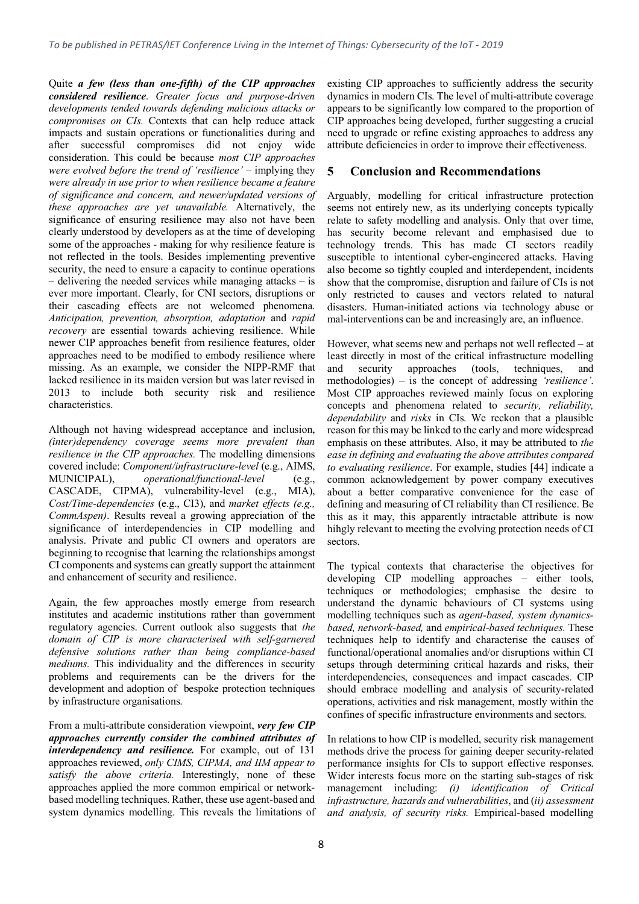Quite *a few (less than one-fifth) of the CIP approaches considered resilience*. *Greater focus and purpose-driven developments tended towards defending malicious attacks or compromises on CIs.* Contexts that can help reduce attack impacts and sustain operations or functionalities during and after successful compromises did not enjoy wide after successful compromises did not enjoy consideration. This could be because *most CIP approaches were evolved before the trend of 'resilience'* – implying they *were already in use prior to when resilience became a feature of significance and concern, and newer/updated versions of these approaches are yet unavailable.* Alternatively, the significance of ensuring resilience may also not have been clearly understood by developers as at the time of developing some of the approaches - making for why resilience feature is not reflected in the tools. Besides implementing preventive security, the need to ensure a capacity to continue operations – delivering the needed services while managing attacks – is ever more important. Clearly, for CNI sectors, disruptions or their cascading effects are not welcomed phenomena. *Anticipation, prevention, absorption, adaptation* and *rapid recovery* are essential towards achieving resilience. While newer CIP approaches benefit from resilience features, older approaches need to be modified to embody resilience where missing. As an example, we consider the NIPP-RMF that lacked resilience in its maiden version but was later revised in 2013 to include both security risk and resilience characteristics.

Although not having widespread acceptance and inclusion, *(inter)dependency coverage seems more prevalent than resilience in the CIP approaches.* The modelling dimensions covered include: *Component/infrastructure-level* (e.g., AIMS, MUNICIPAL), *operational/functional-level* (e.g., CASCADE, CIPMA), vulnerability-level (e.g., MIA), *Cost/Time-dependencies* (e.g., CI3), and *market effects (e.g., CommAspen)*. Results reveal a growing appreciation of the significance of interdependencies in CIP modelling and analysis. Private and public CI owners and operators are beginning to recognise that learning the relationships amongst CI components and systems can greatly support the attainment and enhancement of security and resilience.

Again, the few approaches mostly emerge from research institutes and academic institutions rather than government regulatory agencies. Current outlook also suggests that *the domain of CIP is more characterised with self-garnered defensive solutions rather than being compliance-based mediums.* This individuality and the differences in security problems and requirements can be the drivers for the development and adoption of bespoke protection techniques by infrastructure organisations.

From a multi-attribute consideration viewpoint, *very few CIP approaches currently consider the combined attributes of interdependency and resilience*. For example, out of 131 approaches reviewed, *only CIMS, CIPMA, and IIM appear to satisfy the above criteria.* Interestingly, none of these approaches applied the more common empirical or networkbased modelling techniques. Rather, these use agent-based and system dynamics modelling. This reveals the limitations of

existing CIP approaches to sufficiently address the security dynamics in modern CIs. The level of multi-attribute coverage appears to be significantly low compared to the proportion of CIP approaches being developed, further suggesting a crucial need to upgrade or refine existing approaches to address any attribute deficiencies in order to improve their effectiveness.

#### **5 Conclusion and Recommendations**

Arguably, modelling for critical infrastructure protection seems not entirely new, as its underlying concepts typically relate to safety modelling and analysis. Only that over time, has security become relevant and emphasised due to technology trends. This has made CI sectors readily susceptible to intentional cyber-engineered attacks. Having also become so tightly coupled and interdependent, incidents show that the compromise, disruption and failure of CIs is not only restricted to causes and vectors related to natural disasters. Human-initiated actions via technology abuse or mal-interventions can be and increasingly are, an influence.

However, what seems new and perhaps not well reflected – at least directly in most of the critical infrastructure modelling and security approaches (tools, techniques, and methodologies) – is the concept of addressing *'resilience'*. Most CIP approaches reviewed mainly focus on exploring concepts and phenomena related to *security, reliability, dependability* and *risks* in CIs. We reckon that a plausible reason for this may be linked to the early and more widespread emphasis on these attributes. Also, it may be attributed to *the ease in defining and evaluating the above attributes compared to evaluating resilience*. For example, studies [44] indicate a common acknowledgement by power company executives about a better comparative convenience for the ease of defining and measuring of CI reliability than CI resilience. Be this as it may, this apparently intractable attribute is now hihgly relevant to meeting the evolving protection needs of CI sectors.

The typical contexts that characterise the objectives for developing CIP modelling approaches – either tools, techniques or methodologies; emphasise the desire to understand the dynamic behaviours of CI systems using modelling techniques such as *agent-based, system dynamicsbased, network-based,* and *empirical-based techniques.* These techniques help to identify and characterise the causes of functional/operational anomalies and/or disruptions within CI setups through determining critical hazards and risks, their interdependencies, consequences and impact cascades. CIP should embrace modelling and analysis of security-related operations, activities and risk management, mostly within the confines of specific infrastructure environments and sectors.

In relations to how CIP is modelled, security risk management methods drive the process for gaining deeper security-related performance insights for CIs to support effective responses. Wider interests focus more on the starting sub-stages of risk management including: *(i) identification of Critical infrastructure, hazards and vulnerabilities*, and (*ii) assessment and analysis, of security risks.* Empirical-based modelling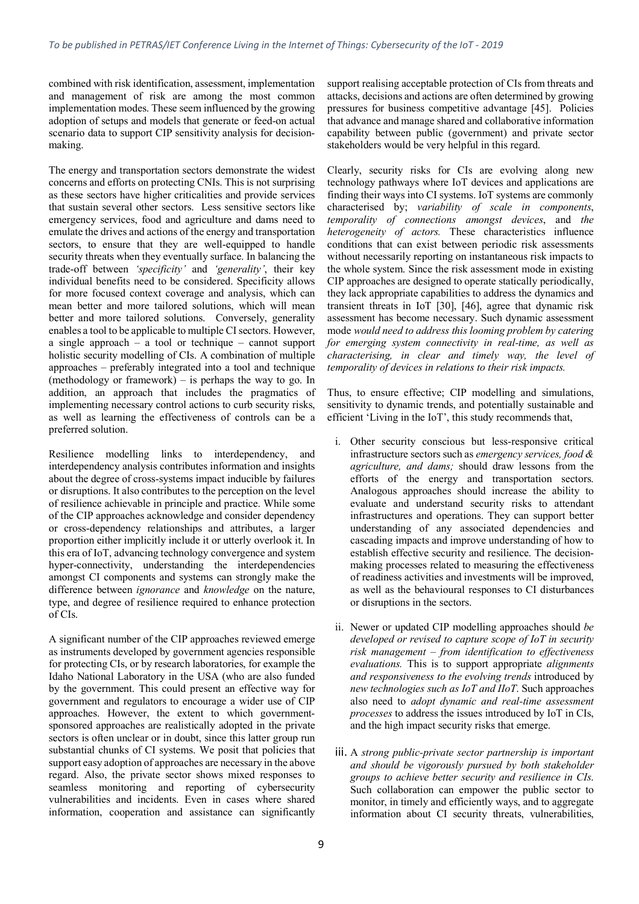combined with risk identification, assessment, implementation and management of risk are among the most common implementation modes. These seem influenced by the growing adoption of setups and models that generate or feed-on actual scenario data to support CIP sensitivity analysis for decisionmaking.

The energy and transportation sectors demonstrate the widest concerns and efforts on protecting CNIs. This is not surprising as these sectors have higher criticalities and provide services that sustain several other sectors. Less sensitive sectors like emergency services, food and agriculture and dams need to emulate the drives and actions of the energy and transportation sectors, to ensure that they are well-equipped to handle security threats when they eventually surface. In balancing the trade-off between *'specificity'* and *'generality'*, their key individual benefits need to be considered. Specificity allows for more focused context coverage and analysis, which can mean better and more tailored solutions, which will mean better and more tailored solutions. Conversely, generality enables a tool to be applicable to multiple CI sectors. However, a single approach – a tool or technique – cannot support holistic security modelling of CIs. A combination of multiple approaches – preferably integrated into a tool and technique (methodology or framework) – is perhaps the way to go. In addition, an approach that includes the pragmatics of implementing necessary control actions to curb security risks, as well as learning the effectiveness of controls can be a preferred solution.

Resilience modelling links to interdependency, and interdependency analysis contributes information and insights about the degree of cross-systems impact inducible by failures or disruptions. It also contributes to the perception on the level of resilience achievable in principle and practice. While some of the CIP approaches acknowledge and consider dependency or cross-dependency relationships and attributes, a larger proportion either implicitly include it or utterly overlook it. In this era of IoT, advancing technology convergence and system hyper-connectivity, understanding the interdependencies amongst CI components and systems can strongly make the difference between *ignorance* and *knowledge* on the nature, type, and degree of resilience required to enhance protection of CIs.

A significant number of the CIP approaches reviewed emerge as instruments developed by government agencies responsible for protecting CIs, or by research laboratories, for example the Idaho National Laboratory in the USA (who are also funded by the government. This could present an effective way for government and regulators to encourage a wider use of CIP approaches. However, the extent to which governmentsponsored approaches are realistically adopted in the private sectors is often unclear or in doubt, since this latter group run substantial chunks of CI systems. We posit that policies that support easy adoption of approaches are necessary in the above regard. Also, the private sector shows mixed responses to seamless monitoring and reporting of cybersecurity vulnerabilities and incidents. Even in cases where shared information, cooperation and assistance can significantly

support realising acceptable protection of CIs from threats and attacks, decisions and actions are often determined by growing pressures for business competitive advantage [45]. Policies that advance and manage shared and collaborative information capability between public (government) and private sector stakeholders would be very helpful in this regard.

Clearly, security risks for CIs are evolving along new technology pathways where IoT devices and applications are finding their ways into CI systems. IoT systems are commonly characterised by; *variability of scale in components*, *temporality of connections amongst devices*, and *the heterogeneity of actors.* These characteristics influence conditions that can exist between periodic risk assessments without necessarily reporting on instantaneous risk impacts to the whole system. Since the risk assessment mode in existing CIP approaches are designed to operate statically periodically, they lack appropriate capabilities to address the dynamics and transient threats in IoT [30], [46], agree that dynamic risk assessment has become necessary. Such dynamic assessment mode *would need to address this looming problem by catering for emerging system connectivity in real-time, as well as characterising, in clear and timely way, the level of temporality of devices in relations to their risk impacts.* 

Thus, to ensure effective; CIP modelling and simulations, sensitivity to dynamic trends, and potentially sustainable and efficient 'Living in the IoT', this study recommends that,

- i. Other security conscious but less-responsive critical infrastructure sectors such as *emergency services, food & agriculture, and dams;* should draw lessons from the efforts of the energy and transportation sectors. Analogous approaches should increase the ability to evaluate and understand security risks to attendant infrastructures and operations. They can support better understanding of any associated dependencies and cascading impacts and improve understanding of how to establish effective security and resilience. The decisionmaking processes related to measuring the effectiveness of readiness activities and investments will be improved, as well as the behavioural responses to CI disturbances or disruptions in the sectors.
- ii. Newer or updated CIP modelling approaches should *be developed or revised to capture scope of IoT in security risk management – from identification to effectiveness evaluations.* This is to support appropriate *alignments and responsiveness to the evolving trends* introduced by *new technologies such as IoT and IIoT*. Such approaches also need to *adopt dynamic and real-time assessment processes* to address the issues introduced by IoT in CIs, and the high impact security risks that emerge.
- iii. A *strong public-private sector partnership is important and should be vigorously pursued by both stakeholder groups to achieve better security and resilience in CIs*. Such collaboration can empower the public sector to monitor, in timely and efficiently ways, and to aggregate information about CI security threats, vulnerabilities,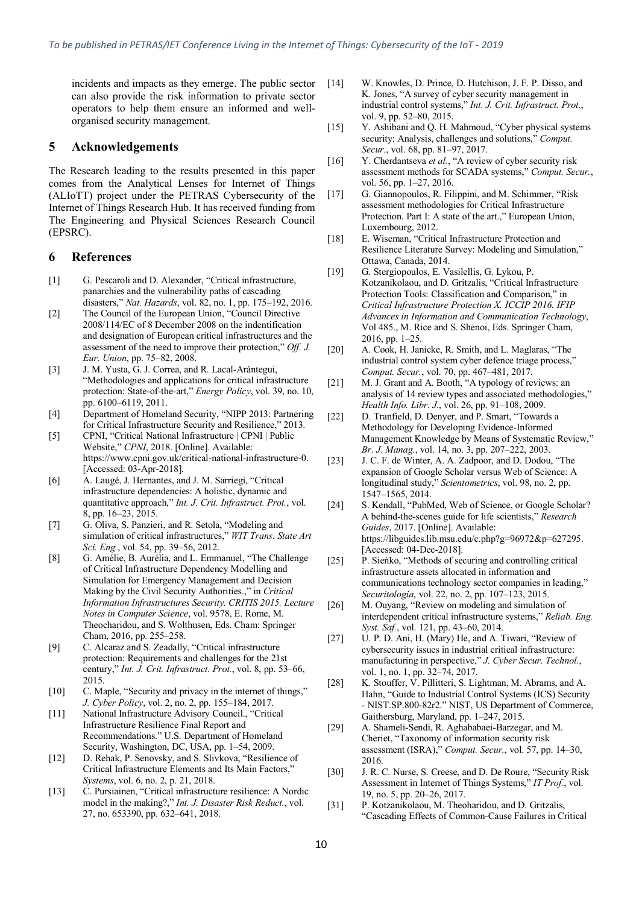incidents and impacts as they emerge. The public sector can also provide the risk information to private sector operators to help them ensure an informed and wellorganised security management.

#### **5 Acknowledgements**

The Research leading to the results presented in this paper comes from the Analytical Lenses for Internet of Things (ALIoTT) project under the PETRAS Cybersecurity of the Internet of Things Research Hub. It has received funding from The Engineering and Physical Sciences Research Council (EPSRC).

#### **6 References**

- [1] G. Pescaroli and D. Alexander, "Critical infrastructure, panarchies and the vulnerability paths of cascading disasters," *Nat. Hazards*, vol. 82, no. 1, pp. 175–192, 2016.
- [2] The Council of the European Union, "Council Directive 2008/114/EC of 8 December 2008 on the indentification and designation of European critical infrastructures and the assessment of the need to improve their protection," *Off. J. Eur. Union*, pp. 75–82, 2008.
- [3] J. M. Yusta, G. J. Correa, and R. Lacal-Arántegui, "Methodologies and applications for critical infrastructure protection: State-of-the-art," *Energy Policy*, vol. 39, no. 10, pp. 6100–6119, 2011.
- [4] Department of Homeland Security, "NIPP 2013: Partnering for Critical Infrastructure Security and Resilience," 2013.
- [5] CPNI, "Critical National Infrastructure | CPNI | Public Website," *CPNI*, 2018. [Online]. Available: https://www.cpni.gov.uk/critical-national-infrastructure-0. [Accessed: 03-Apr-2018].
- [6] A. Laugé, J. Hernantes, and J. M. Sarriegi, "Critical infrastructure dependencies: A holistic, dynamic and quantitative approach," *Int. J. Crit. Infrastruct. Prot.*, vol. 8, pp. 16–23, 2015.
- [7] G. Oliva, S. Panzieri, and R. Setola, "Modeling and simulation of critical infrastructures," *WIT Trans. State Art Sci. Eng.*, vol. 54, pp. 39–56, 2012.
- [8] G. Amélie, B. Aurélia, and L. Emmanuel, "The Challenge of Critical Infrastructure Dependency Modelling and Simulation for Emergency Management and Decision Making by the Civil Security Authorities.," in *Critical Information Infrastructures Security. CRITIS 2015. Lecture Notes in Computer Science*, vol. 9578, E. Rome, M. Theocharidou, and S. Wolthusen, Eds. Cham: Springer Cham, 2016, pp. 255–258.
- [9] C. Alcaraz and S. Zeadally, "Critical infrastructure protection: Requirements and challenges for the 21st century," *Int. J. Crit. Infrastruct. Prot.*, vol. 8, pp. 53–66, 2015.
- [10] C. Maple, "Security and privacy in the internet of things," *J. Cyber Policy*, vol. 2, no. 2, pp. 155–184, 2017.
- [11] National Infrastructure Advisory Council., "Critical Infrastructure Resilience Final Report and Recommendations." U.S. Department of Homeland Security, Washington, DC, USA, pp. 1–54, 2009.
- [12] D. Rehak, P. Senovsky, and S. Slivkova, "Resilience of Critical Infrastructure Elements and Its Main Factors," *Systems*, vol. 6, no. 2, p. 21, 2018.
- [13] C. Pursiainen, "Critical infrastructure resilience: A Nordic model in the making?," *Int. J. Disaster Risk Reduct.*, vol. 27, no. 653390, pp. 632–641, 2018.
- [14] W. Knowles, D. Prince, D. Hutchison, J. F. P. Disso, and K. Jones, "A survey of cyber security management in industrial control systems," *Int. J. Crit. Infrastruct. Prot.*, vol. 9, pp. 52–80, 2015.
- [15] Y. Ashibani and Q. H. Mahmoud, "Cyber physical systems security: Analysis, challenges and solutions," *Comput. Secur.*, vol. 68, pp. 81–97, 2017.
- [16] Y. Cherdantseva *et al.*, "A review of cyber security risk assessment methods for SCADA systems," *Comput. Secur.*, vol. 56, pp. 1–27, 2016.
- [17] G. Giannopoulos, R. Filippini, and M. Schimmer, "Risk assessment methodologies for Critical Infrastructure Protection. Part I: A state of the art.," European Union, Luxembourg, 2012.
- [18] E. Wiseman, "Critical Infrastructure Protection and Resilience Literature Survey: Modeling and Simulation," Ottawa, Canada, 2014.
- [19] G. Stergiopoulos, E. Vasilellis, G. Lykou, P. Kotzanikolaou, and D. Gritzalis, "Critical Infrastructure Protection Tools: Classification and Comparison," in *Critical Infrastructure Protection X. ICCIP 2016. IFIP Advances in Information and Communication Technology*, Vol 485., M. Rice and S. Shenoi, Eds. Springer Cham, 2016, pp. 1–25.
- [20] A. Cook, H. Janicke, R. Smith, and L. Maglaras, "The industrial control system cyber defence triage process," *Comput. Secur.*, vol. 70, pp. 467–481, 2017.
- [21] M. J. Grant and A. Booth, "A typology of reviews: an analysis of 14 review types and associated methodologies," *Health Info. Libr. J.*, vol. 26, pp. 91–108, 2009.
- [22] D. Tranfield, D. Denyer, and P. Smart, "Towards a Methodology for Developing Evidence-Informed Management Knowledge by Means of Systematic Review," *Br. J. Manag.*, vol. 14, no. 3, pp. 207–222, 2003.
- [23] J. C. F. de Winter, A. A. Zadpoor, and D. Dodou, "The expansion of Google Scholar versus Web of Science: A longitudinal study," *Scientometrics*, vol. 98, no. 2, pp. 1547–1565, 2014.
- [24] S. Kendall, "PubMed, Web of Science, or Google Scholar? A behind-the-scenes guide for life scientists," *Research Guides*, 2017. [Online]. Available: https://libguides.lib.msu.edu/c.php?g=96972&p=627295. [Accessed: 04-Dec-2018].
- [25] P. Sieńko, "Methods of securing and controlling critical infrastructure assets allocated in information and communications technology sector companies in leading," *Securitologia*, vol. 22, no. 2, pp. 107–123, 2015.
- [26] M. Ouyang, "Review on modeling and simulation of interdependent critical infrastructure systems," *Reliab. Eng. Syst. Saf.*, vol. 121, pp. 43–60, 2014.
- [27] U. P. D. Ani, H. (Mary) He, and A. Tiwari, "Review of cybersecurity issues in industrial critical infrastructure: manufacturing in perspective," *J. Cyber Secur. Technol.*, vol. 1, no. 1, pp. 32–74, 2017.
- [28] K. Stouffer, V. Pillitteri, S. Lightman, M. Abrams, and A. Hahn, "Guide to Industrial Control Systems (ICS) Security - NIST.SP.800-82r2." NIST, US Department of Commerce, Gaithersburg, Maryland, pp. 1–247, 2015.
- [29] A. Shameli-Sendi, R. Aghababaei-Barzegar, and M. Cheriet, "Taxonomy of information security risk assessment (ISRA)," *Comput. Secur.*, vol. 57, pp. 14–30, 2016.
- [30] J. R. C. Nurse, S. Creese, and D. De Roure, "Security Risk Assessment in Internet of Things Systems," *IT Prof.*, vol. 19, no. 5, pp. 20–26, 2017.
- [31] P. Kotzanikolaou, M. Theoharidou, and D. Gritzalis, "Cascading Effects of Common-Cause Failures in Critical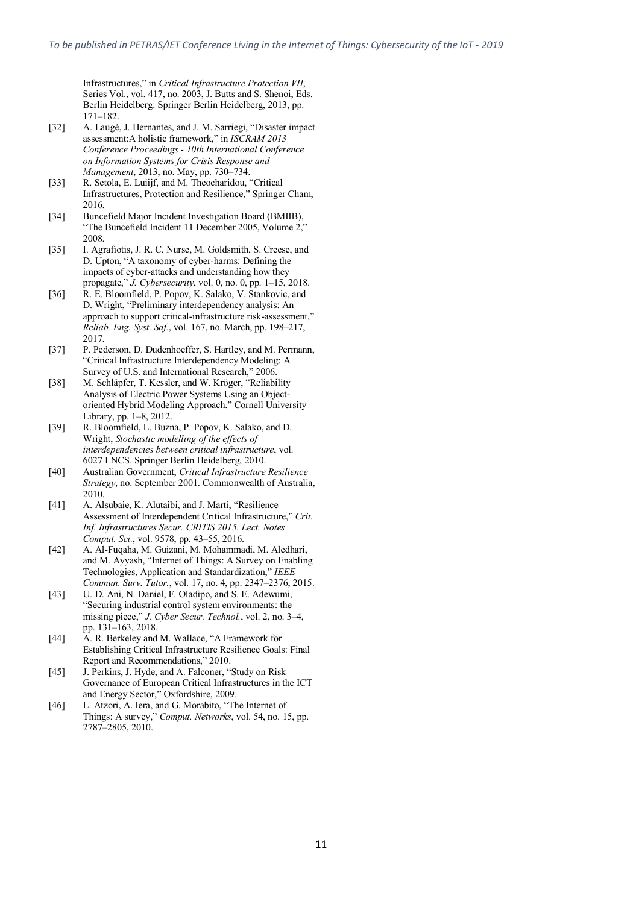Infrastructures," in *Critical Infrastructure Protection VII*, Series Vol., vol. 417, no. 2003, J. Butts and S. Shenoi, Eds. Berlin Heidelberg: Springer Berlin Heidelberg, 2013, pp. 171–182.

- [32] A. Laugé, J. Hernantes, and J. M. Sarriegi, "Disaster impact assessment:A holistic framework," in *ISCRAM 2013 Conference Proceedings - 10th International Conference on Information Systems for Crisis Response and Management*, 2013, no. May, pp. 730–734.
- [33] R. Setola, E. Luiijf, and M. Theocharidou, "Critical Infrastructures, Protection and Resilience," Springer Cham, 2016.
- [34] Buncefield Major Incident Investigation Board (BMIIB), "The Buncefield Incident 11 December 2005, Volume 2," 2008.
- [35] I. Agrafiotis, J. R. C. Nurse, M. Goldsmith, S. Creese, and D. Upton, "A taxonomy of cyber-harms: Defining the impacts of cyber-attacks and understanding how they propagate," *J. Cybersecurity*, vol. 0, no. 0, pp. 1–15, 2018.
- [36] R. E. Bloomfield, P. Popov, K. Salako, V. Stankovic, and D. Wright, "Preliminary interdependency analysis: An approach to support critical-infrastructure risk-assessment," *Reliab. Eng. Syst. Saf.*, vol. 167, no. March, pp. 198–217, 2017.
- [37] P. Pederson, D. Dudenhoeffer, S. Hartley, and M. Permann, "Critical Infrastructure Interdependency Modeling: A Survey of U.S. and International Research," 2006.
- [38] M. Schläpfer, T. Kessler, and W. Kröger, "Reliability Analysis of Electric Power Systems Using an Objectoriented Hybrid Modeling Approach." Cornell University Library, pp. 1–8, 2012.
- [39] R. Bloomfield, L. Buzna, P. Popov, K. Salako, and D. Wright, *Stochastic modelling of the effects of interdependencies between critical infrastructure*, vol. 6027 LNCS. Springer Berlin Heidelberg, 2010.
- [40] Australian Government, *Critical Infrastructure Resilience Strategy*, no. September 2001. Commonwealth of Australia, 2010.
- [41] A. Alsubaie, K. Alutaibi, and J. Marti, "Resilience Assessment of Interdependent Critical Infrastructure," *Crit. Inf. Infrastructures Secur. CRITIS 2015. Lect. Notes Comput. Sci.*, vol. 9578, pp. 43–55, 2016.
- [42] A. Al-Fuqaha, M. Guizani, M. Mohammadi, M. Aledhari, and M. Ayyash, "Internet of Things: A Survey on Enabling Technologies, Application and Standardization," *IEEE Commun. Surv. Tutor.*, vol. 17, no. 4, pp. 2347–2376, 2015.
- [43] U. D. Ani, N. Daniel, F. Oladipo, and S. E. Adewumi, "Securing industrial control system environments: the missing piece," *J. Cyber Secur. Technol.*, vol. 2, no. 3–4, pp. 131–163, 2018.
- [44] A. R. Berkeley and M. Wallace, "A Framework for Establishing Critical Infrastructure Resilience Goals: Final Report and Recommendations," 2010.
- [45] J. Perkins, J. Hyde, and A. Falconer, "Study on Risk" Governance of European Critical Infrastructures in the ICT and Energy Sector," Oxfordshire, 2009.
- [46] L. Atzori, A. Iera, and G. Morabito, "The Internet of Things: A survey," *Comput. Networks*, vol. 54, no. 15, pp. 2787–2805, 2010.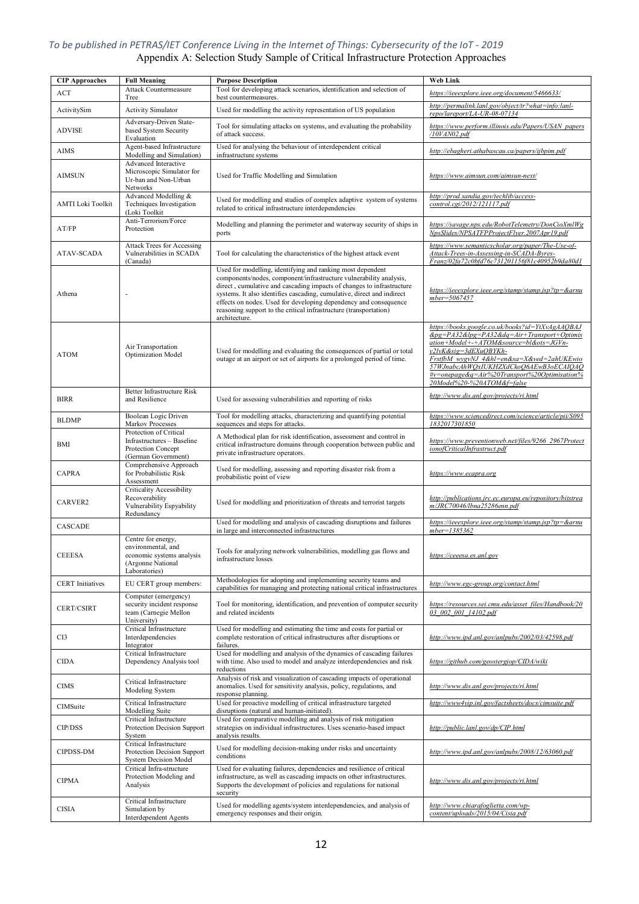#### *To be published in PETRAS/IET Conference Living in the Internet of Things: Cybersecurity of the IoT - 2019* Appendix A: Selection Study Sample of Critical Infrastructure Protection Approaches

| <b>CIP Approaches</b>    | <b>Full Meaning</b>                                                                                         | <b>Purpose Description</b>                                                                                                                                                                                                                                                                                                                                                                                                                    | <b>Web Link</b>                                                                                                                                                                                                                                                                                                                                       |
|--------------------------|-------------------------------------------------------------------------------------------------------------|-----------------------------------------------------------------------------------------------------------------------------------------------------------------------------------------------------------------------------------------------------------------------------------------------------------------------------------------------------------------------------------------------------------------------------------------------|-------------------------------------------------------------------------------------------------------------------------------------------------------------------------------------------------------------------------------------------------------------------------------------------------------------------------------------------------------|
| ACT                      | <b>Attack Countermeasure</b><br>Tree                                                                        | Tool for developing attack scenarios, identification and selection of<br>best countermeasures.                                                                                                                                                                                                                                                                                                                                                | https://ieeexplore.ieee.org/document/5466633/                                                                                                                                                                                                                                                                                                         |
| ActivitySim              | <b>Activity Simulator</b>                                                                                   | Used for modelling the activity representation of US population                                                                                                                                                                                                                                                                                                                                                                               | http://permalink.lanl.gov/object/tr?what=info:lanl-<br>repo/lareport/LA-UR-08-07134                                                                                                                                                                                                                                                                   |
| <b>ADVISE</b>            | Adversary-Driven State-<br>based System Security<br>Evaluation                                              | Tool for simulating attacks on systems, and evaluating the probability<br>of attack success.                                                                                                                                                                                                                                                                                                                                                  | https://www.perform.illinois.edu/Papers/USAN papers<br>/10VAN02.pdf                                                                                                                                                                                                                                                                                   |
| AIMS                     | Agent-based Infrastructure<br>Modelling and Simulation)                                                     | Used for analysing the behaviour of interdependent critical<br>infrastructure systems                                                                                                                                                                                                                                                                                                                                                         | http://ebagheri.athabascau.ca/papers/ijbpim.pdf                                                                                                                                                                                                                                                                                                       |
| AIMSUN                   | Advanced Interactive<br>Microscopic Simulator for<br>Ur-ban and Non-Urban<br>Networks                       | Used for Traffic Modelling and Simulation                                                                                                                                                                                                                                                                                                                                                                                                     | https://www.aimsun.com/aimsun-next/                                                                                                                                                                                                                                                                                                                   |
| <b>AMTI Loki Toolkit</b> | Advanced Modelling &<br>Techniques Investigation<br>(Loki Toolkit                                           | Used for modelling and studies of complex adaptive system of systems<br>related to critical infrastructure interdependencies                                                                                                                                                                                                                                                                                                                  | http://prod.sandia.gov/techlib/access-<br>control.cgi/2012/121117.pdf                                                                                                                                                                                                                                                                                 |
| AT/FP                    | Anti-Terrorism/Force<br>Protection                                                                          | Modelling and planning the perimeter and waterway security of ships in<br>ports                                                                                                                                                                                                                                                                                                                                                               | https://savage.nps.edu/RobotTelemetry/DonCioXmlWg<br>NpsSlides/NPSATFPProjectFlyer.2007Apr19.pdf                                                                                                                                                                                                                                                      |
| <b>ATAV-SCADA</b>        | <b>Attack Trees for Accessing</b><br>Vulnerabilities in SCADA<br>(Canada)                                   | Tool for calculating the characteristics of the highest attack event                                                                                                                                                                                                                                                                                                                                                                          | https://www.semanticscholar.org/paper/The-Use-of-<br>Attack-Trees-in-Assessing-in-SCADA-Byres-<br>Franz/02fa72c0bfd76c731201156f81c40952b9da80d1                                                                                                                                                                                                      |
| Athena                   | $\overline{a}$                                                                                              | Used for modelling, identifying and ranking most dependent<br>components/nodes, component/infrastructure vulnerability analysis,<br>direct, cumulative and cascading impacts of changes to infrastructure<br>systems. It also identifies cascading, cumulative, direct and indirect<br>effects on nodes. Used for developing dependency and consequence<br>reasoning support to the critical infrastructure (transportation)<br>architecture. | https://ieeexplore.ieee.org/stamp/stamp.jsp?tp=&arnu<br>mber=5067457                                                                                                                                                                                                                                                                                  |
| <b>ATOM</b>              | Air Transportation<br><b>Optimization Model</b>                                                             | Used for modelling and evaluating the consequences of partial or total<br>outage at an airport or set of airports for a prolonged period of time.                                                                                                                                                                                                                                                                                             | https://books.google.co.uk/books?id=YtXvAgAAQBAJ<br>$\&pg = PA32\&lpg = PA32\&dq = Air + Transport + Optimis$<br>ation+Model+-+ATOM&source=bl&ots=JGVn-<br>y2lvK&sig=3dEXuQBYKh-<br>FrstfbM_wygvNJ_4&hl=en&sa=X&ved=2ahUKEwio<br>57WJnabcAhWQxIUKHZXdCkoQ6AEwB3oECAIQAQ<br>#v=onepage&q=Air%20Transport%20Optimisation%<br>20Model%20-%20ATOM&f=false |
| <b>BIRR</b>              | Better Infrastructure Risk<br>and Resilience                                                                | Used for assessing vulnerabilities and reporting of risks                                                                                                                                                                                                                                                                                                                                                                                     | http://www.dis.anl.gov/projects/ri.html                                                                                                                                                                                                                                                                                                               |
| <b>BLDMP</b>             | Boolean Logic Driven<br>Markov Processes                                                                    | Tool for modelling attacks, characterizing and quantifying potential<br>sequences and steps for attacks.                                                                                                                                                                                                                                                                                                                                      | https://www.sciencedirect.com/science/article/pii/S095<br>1832017301850                                                                                                                                                                                                                                                                               |
| BMI                      | Protection of Critical<br>Infrastructures - Baseline<br>Protection Concept<br>(German Government)           | A Methodical plan for risk identification, assessment and control in<br>critical infrastructure domains through cooperation between public and<br>private infrastructure operators.                                                                                                                                                                                                                                                           | https://www.preventionweb.net/files/9266_2967Protect<br>ionofCriticalInfrastruct.pdf                                                                                                                                                                                                                                                                  |
| <b>CAPRA</b>             | Comprehensive Approach<br>for Probabilistic Risk<br>Assessment                                              | Used for modelling, assessing and reporting disaster risk from a<br>probabilistic point of view                                                                                                                                                                                                                                                                                                                                               | https://www.ecapra.org                                                                                                                                                                                                                                                                                                                                |
| CARVER2                  | <b>Criticality Accessibility</b><br>Recoverability<br>Vulnerability Espyability<br>Redundancy               | Used for modelling and prioritization of threats and terrorist targets                                                                                                                                                                                                                                                                                                                                                                        | http://publications.jrc.ec.europa.eu/repository/bitstrea<br>m/JRC70046/lbna25286enn.pdf                                                                                                                                                                                                                                                               |
| CASCADE                  |                                                                                                             | Used for modelling and analysis of cascading disruptions and failures<br>in large and interconnected infrastructures                                                                                                                                                                                                                                                                                                                          | https://ieeexplore.ieee.org/stamp/stamp.jsp?tp=&arnu<br>$mber = 1385362$                                                                                                                                                                                                                                                                              |
| <b>CEEESA</b>            | Centre for energy,<br>environmental, and<br>economic systems analysis<br>(Argonne National<br>Laboratories) | Tools for analyzing network vulnerabilities, modelling gas flows and<br>infrastructure losses                                                                                                                                                                                                                                                                                                                                                 | https://ceeesa.es.anl.gov                                                                                                                                                                                                                                                                                                                             |
| <b>CERT</b> Initiatives  | EU CERT group members:                                                                                      | Methodologies for adopting and implementing security teams and<br>capabilities for managing and protecting national critical infrastructures                                                                                                                                                                                                                                                                                                  | http://www.egc-group.org/contact.html                                                                                                                                                                                                                                                                                                                 |
| <b>CERT/CSIRT</b>        | Computer (emergency)<br>security incident response<br>team (Carnegie Mellon<br>University)                  | Tool for monitoring, identification, and prevention of computer security<br>and related incidents                                                                                                                                                                                                                                                                                                                                             | https://resources.sei.cmu.edu/asset_files/Handbook/20<br>03 002 001 14102.pdf                                                                                                                                                                                                                                                                         |
| CI3                      | Critical Infrastructure<br>Interdependencies<br>Integrator                                                  | Used for modelling and estimating the time and costs for partial or<br>complete restoration of critical infrastructures after disruptions or<br>failures.                                                                                                                                                                                                                                                                                     | http://www.ipd.anl.gov/anlpubs/2002/03/42598.pdf                                                                                                                                                                                                                                                                                                      |
| <b>CIDA</b>              | Critical Infrastructure<br>Dependency Analysis tool                                                         | Used for modelling and analysis of the dynamics of cascading failures<br>with time. Also used to model and analyze interdependencies and risk<br>reductions                                                                                                                                                                                                                                                                                   | https://github.com/geostergiop/CIDA/wiki                                                                                                                                                                                                                                                                                                              |
| <b>CIMS</b>              | Critical Infrastructure<br>Modeling System                                                                  | Analysis of risk and visualization of cascading impacts of operational<br>anomalies. Used for sensitivity analysis, policy, regulations, and<br>response planning.                                                                                                                                                                                                                                                                            | http://www.dis.anl.gov/projects/ri.html                                                                                                                                                                                                                                                                                                               |
| CIMSuite                 | Critical Infrastructure<br>Modelling Suite                                                                  | Used for proactive modelling of critical infrastructure targeted<br>disruptions (natural and human-initiated).                                                                                                                                                                                                                                                                                                                                | http://www4vip.inl.gov/factsheets/docs/cimsuite.pdf                                                                                                                                                                                                                                                                                                   |
| CIP/DSS                  | Critical Infrastructure<br>Protection Decision Support<br>System                                            | Used for comparative modelling and analysis of risk mitigation<br>strategies on individual infrastructures. Uses scenario-based impact<br>analysis results.                                                                                                                                                                                                                                                                                   | http://public.lanl.gov/dp/CIP.html                                                                                                                                                                                                                                                                                                                    |
| <b>CIPDSS-DM</b>         | Critical Infrastructure<br>Protection Decision Support<br><b>System Decision Model</b>                      | Used for modelling decision-making under risks and uncertainty<br>conditions                                                                                                                                                                                                                                                                                                                                                                  | http://www.ipd.anl.gov/anlpubs/2008/12/63060.pdf                                                                                                                                                                                                                                                                                                      |
| <b>CIPMA</b>             | Critical Infra-structure<br>Protection Modeling and<br>Analysis                                             | Used for evaluating failures, dependencies and resilience of critical<br>infrastructure, as well as cascading impacts on other infrastructures.<br>Supports the development of policies and regulations for national<br>security                                                                                                                                                                                                              | http://www.dis.anl.gov/projects/ri.html                                                                                                                                                                                                                                                                                                               |
| <b>CISIA</b>             | Critical Infrastructure<br>Simulation by<br>Interdependent Agents                                           | Used for modelling agents/system interdependencies, and analysis of<br>emergency responses and their origin.                                                                                                                                                                                                                                                                                                                                  | http://www.chiarafoglietta.com/wp-<br>content/uploads/2015/04/Cisia.pdf                                                                                                                                                                                                                                                                               |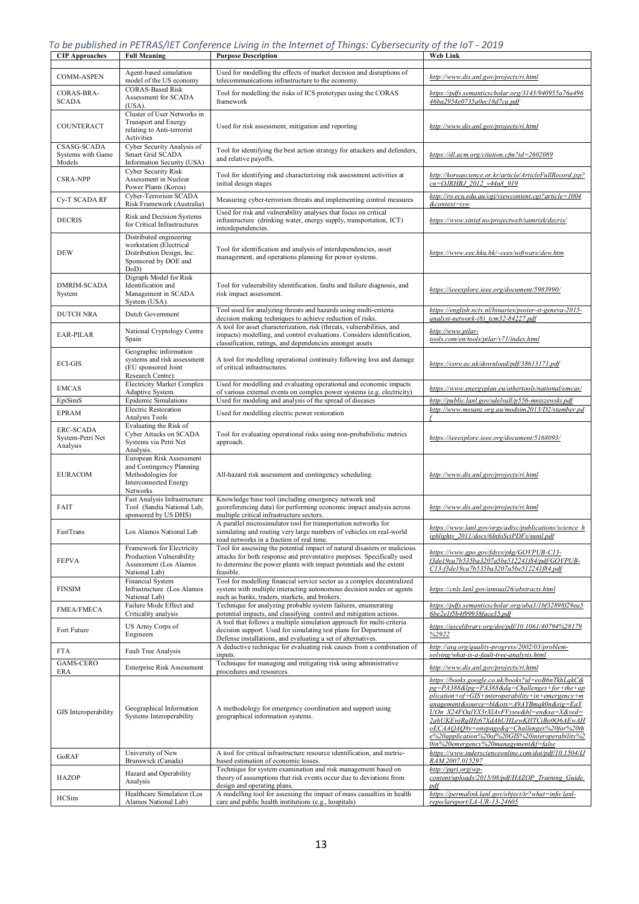*To be published in PETRAS/IET Conference Living in the Internet of Things: Cybersecurity of the IoT - 2019*

| <b>CIP</b> Approaches                            | <b>Full Meaning</b>                                                                                                   | <b>Purpose Description</b>                                                                                                                                                                                                              | <b>Web Link</b>                                                                                                                                                                                                                                                                                                                                                                                                                      |
|--------------------------------------------------|-----------------------------------------------------------------------------------------------------------------------|-----------------------------------------------------------------------------------------------------------------------------------------------------------------------------------------------------------------------------------------|--------------------------------------------------------------------------------------------------------------------------------------------------------------------------------------------------------------------------------------------------------------------------------------------------------------------------------------------------------------------------------------------------------------------------------------|
| <b>COMM-ASPEN</b>                                | Agent-based simulation                                                                                                | Used for modelling the effects of market decision and disruptions of                                                                                                                                                                    | http://www.dis.anl.gov/projects/ri.html                                                                                                                                                                                                                                                                                                                                                                                              |
| CORAS-BRA-                                       | model of the US economy<br><b>CORAS-Based Risk</b><br>Assessment for SCADA                                            | telecommunications infrastructure to the economy.<br>Tool for modelling the risks of ICS prototypes using the CORAS                                                                                                                     | https://pdfs.semanticscholar.org/3143/940955a76a496                                                                                                                                                                                                                                                                                                                                                                                  |
| <b>SCADA</b>                                     | $(USA)$ .<br>Cluster of User Networks in                                                                              | framework                                                                                                                                                                                                                               | 46ba2954e0735a0ec18d7ca.pdf                                                                                                                                                                                                                                                                                                                                                                                                          |
| COUNTERACT                                       | <b>Transport and Energy</b><br>relating to Anti-terrorist<br>Activities                                               | Used for risk assessment, mitigation and reporting                                                                                                                                                                                      | http://www.dis.anl.gov/projects/ri.html                                                                                                                                                                                                                                                                                                                                                                                              |
| CSASG-SCADA<br>Systems with Game<br>Models       | Cyber Security Analysis of<br>Smart Grid SCADA<br>Information Security (USA)                                          | Tool for identifying the best action strategy for attackers and defenders,<br>and relative payoffs.                                                                                                                                     | https://dl.acm.org/citation.cfm?id=2602089                                                                                                                                                                                                                                                                                                                                                                                           |
| <b>CSRA-NPP</b>                                  | <b>Cyber Security Risk</b><br>Assessment in Nuclear<br>Power Plants (Korea)                                           | Tool for identifying and characterizing risk assessment activities at<br>initial design stages                                                                                                                                          | http://koreascience.or.kr/article/ArticleFullRecord.jsp?<br>cn=OJRHBJ 2012 v44n8 919                                                                                                                                                                                                                                                                                                                                                 |
| Cy-T SCADA RF                                    | Cyber-Terrorism SCADA<br>Risk Framework (Australia)                                                                   | Measuring cyber-terrorism threats and implementing control measures                                                                                                                                                                     | http://ro.ecu.edu.au/cgi/viewcontent.cgi?article=1004<br>&context=isw                                                                                                                                                                                                                                                                                                                                                                |
| <b>DECRIS</b>                                    | Risk and Decision Systems<br>for Critical Infrastructures                                                             | Used for risk and vulnerability analyses that focus on critical<br>infrastructure (drinking water, energy supply, transportation, ICT)<br>interdependencies.                                                                            | https://www.sintef.no/projectweb/samrisk/decris/                                                                                                                                                                                                                                                                                                                                                                                     |
| DEW                                              | Distributed engineering<br>workstation (Electrical<br>Distribution Design, Inc.<br>Sponsored by DOE and<br>DoD)       | Tool for identification and analysis of interdependencies, asset<br>management, and operations planning for power systems.                                                                                                              | https://www.eee.hku.hk/~cees/software/dew.htm                                                                                                                                                                                                                                                                                                                                                                                        |
| <b>DMRIM-SCADA</b><br>System                     | Digraph Model for Risk<br>Identification and<br>Management in SCADA<br>System (USA).                                  | Tool for vulnerability identification, faults and failure diagnosis, and<br>risk impact assessment.                                                                                                                                     | https://ieeexplore.ieee.org/document/5983990/                                                                                                                                                                                                                                                                                                                                                                                        |
| <b>DUTCH NRA</b>                                 | Dutch Government                                                                                                      | Tool used for analyzing threats and hazards using multi-criteria<br>decision making techniques to achieve reduction of risks.                                                                                                           | https://english.nctv.nl/binaries/poster-st-geneva-2015-<br>analyst-network-(8) tcm32-84227.pdf                                                                                                                                                                                                                                                                                                                                       |
| <b>EAR-PILAR</b>                                 | National Cryptology Centre<br>Spain                                                                                   | A tool for asset characterization, risk (threats, vulnerabilities, and<br>impacts) modelling, and control evaluations. Considers identification,<br>classification, ratings, and dependencies amongst assets                            | http://www.pilar-<br>tools.com/en/tools/pilar/v71/index.html                                                                                                                                                                                                                                                                                                                                                                         |
| <b>ECI-GIS</b>                                   | Geographic information<br>systems and risk assessment<br>(EU sponsored Joint<br>Research Centre).                     | A tool for modelling operational continuity following loss and damage<br>of critical infrastructures.                                                                                                                                   | https://core.ac.uk/download/pdf/38613171.pdf                                                                                                                                                                                                                                                                                                                                                                                         |
| <b>EMCAS</b>                                     | <b>Electricity Market Complex</b><br>Adaptive System                                                                  | Used for modelling and evaluating operational and economic impacts<br>of various external events on complex power systems (e.g. electricity)                                                                                            | https://www.energyplan.eu/othertools/national/emcas/                                                                                                                                                                                                                                                                                                                                                                                 |
| EpiSimS                                          | Epidemic Simulations                                                                                                  | Used for modeling and analysis of the spread of diseases                                                                                                                                                                                | http://public.lanl.gov/sdelvall/p556-mniszewski.pdf                                                                                                                                                                                                                                                                                                                                                                                  |
| <b>EPRAM</b>                                     | <b>Electric Restoration</b><br>Analysis Tools                                                                         | Used for modelling electric power restoration                                                                                                                                                                                           | http://www.mssanz.org.au/modsim2013/D2/stamber.pd                                                                                                                                                                                                                                                                                                                                                                                    |
| <b>ERC-SCADA</b><br>System-Petri Net<br>Analysis | Evaluating the Risk of<br>Cyber Attacks on SCADA<br>Systems via Petri Net<br>Analysis.                                | Tool for evaluating operational risks using non-probabilistic metrics<br>approach.                                                                                                                                                      | https://ieeexplore.ieee.org/document/5168093/                                                                                                                                                                                                                                                                                                                                                                                        |
| <b>EURACOM</b>                                   | European Risk Assessment<br>and Contingency Planning<br>Methodologies for<br><b>Interconnected Energy</b><br>Networks | All-hazard risk assessment and contingency scheduling.                                                                                                                                                                                  | http://www.dis.anl.gov/projects/ri.html                                                                                                                                                                                                                                                                                                                                                                                              |
| FAIT                                             | Fast Analysis Infrastructure<br>Tool (Sandia National Lab,<br>sponsored by US DHS)                                    | Knowledge base tool (including emergency network and<br>georeferencing data) for performing economic impact analysis across<br>multiple critical infrastructure sectors.                                                                | http://www.dis.anl.gov/projects/ri.html                                                                                                                                                                                                                                                                                                                                                                                              |
| FastTrans                                        | Los Alamos National Lab                                                                                               | A parallel microsimulator tool for transportation networks for<br>simulating and routing very large numbers of vehicles on real-world<br>road networks in a fraction of real time.                                                      | https://www.lanl.gov/orgs/adtsc/publications/science h<br>ighlights 2011/docs/6InfoSciPDFs/sunil.pdf                                                                                                                                                                                                                                                                                                                                 |
| <b>FEPVA</b>                                     | Framework for Electricity<br>Production Vulnerability<br>Assessment (Los Alamos<br>National Lab)                      | Tool for assessing the potential impact of natural disasters or malicious<br>attacks for both response and preventative purposes. Specifically used<br>to determine the power plants with impact potentials and the extent<br>feasible. | https://www.gpo.gov/fdsys/pkg/GOVPUB-C13-<br>f3de19ca7b535ba3207a5be512241f84/pdf/GOVPUB-<br>C13-f3de19ca7b535ba3207a5be512241f84.pdf                                                                                                                                                                                                                                                                                                |
| <b>FINSIM</b>                                    | Financial System<br>Infrastructure (Los Alamos<br>National Lab)                                                       | Tool for modelling financial service sector as a complex decentralized<br>system with multiple interacting autonomous decision nodes or agents<br>such as banks, traders, markets, and brokers.                                         | https://cnls.lanl.gov/annual26/abstracts.html                                                                                                                                                                                                                                                                                                                                                                                        |
| <b>FMEA/FMECA</b>                                | Failure Mode Effect and<br>Criticality analysis                                                                       | Technique for analyzing probable system failures, enumerating<br>potential impacts, and classifying control and mitigation actions.                                                                                                     | https://pdfs.semanticscholar.org/aba3/1bf32898f29ea5<br>6be2e1f5b4f99938face35.pdf                                                                                                                                                                                                                                                                                                                                                   |
| Fort Future                                      | US Army Corps of<br>Engineers                                                                                         | A tool that follows a multiple simulation approach for multi-criteria<br>decision support. Used for simulating test plans for Department of<br>Defense installations, and evaluating a set of alternatives.                             | https://ascelibrary.org/doi/pdf/10.1061/40794%28179<br>%2922                                                                                                                                                                                                                                                                                                                                                                         |
| <b>FTA</b>                                       | <b>Fault Tree Analysis</b>                                                                                            | A deductive technique for evaluating risk causes from a combination of<br>inputs.                                                                                                                                                       | http://asq.org/quality-progress/2002/03/problem-<br>solving/what-is-a-fault-tree-analysis.html                                                                                                                                                                                                                                                                                                                                       |
| <b>GAMS-CERO</b><br>ERA                          | <b>Enterprise Risk Assessment</b>                                                                                     | Technique for managing and mitigating risk using administrative<br>procedures and resources.                                                                                                                                            | http://www.dis.anl.gov/projects/ri.html                                                                                                                                                                                                                                                                                                                                                                                              |
| GIS Interoperability                             | Geographical Information<br>Systems Interoperability                                                                  | A methodology for emergency coordination and support using<br>geographical information systems.                                                                                                                                         | https://books.google.co.uk/books?id=eoB6nTkhLqkC&<br>pg=PA388&lpg=PA388&dq=Challenges+for+the+ap<br>$plication+of+GIS+interoperability+in+emergency+m$<br>anagement&source=bl&ots=A9AYBmqk0n&sig=EaY<br>UOn X24FOalYX3rXlAvFVyuw&hl=en&sa=X&ved=<br>2ahUKEwjRqIHz67XdAhUHLewKHTCiBo0Q6AEwAH<br>oECAAQAQ#v=onepage&q=Challenges%20for%20th<br>e%20application%20of%20GIS%20interoperability%2<br>0in%20emergency%20management&f=false |
| GoRAF                                            | University of New<br>Brunswick (Canada)                                                                               | A tool for critical infrastructure resource identification, and metric-<br>based estimation of economic losses.                                                                                                                         | https://www.inderscienceonline.com/doi/pdf/10.1504/IJ<br>RAM.2007.015297                                                                                                                                                                                                                                                                                                                                                             |
| <b>HAZOP</b>                                     | Hazard and Operability<br>Analysis                                                                                    | Technique for system examination and risk management based on<br>theory of assumptions that risk events occur due to deviations from<br>design and operating plans.                                                                     | http://pqri.org/wp-<br>content/uploads/2015/08/pdf/HAZOP Training Guide.<br>pdf                                                                                                                                                                                                                                                                                                                                                      |
| <b>HCSim</b>                                     | Healthcare Simulation (Los<br>Alamos National Lab)                                                                    | A modelling tool for assessing the impact of mass casualties in health<br>care and public health institutions (e.g., hospitals)                                                                                                         | https://permalink.lanl.gov/object/tr?what=info:lanl-<br>repo/lareport/LA-UR-13-24605                                                                                                                                                                                                                                                                                                                                                 |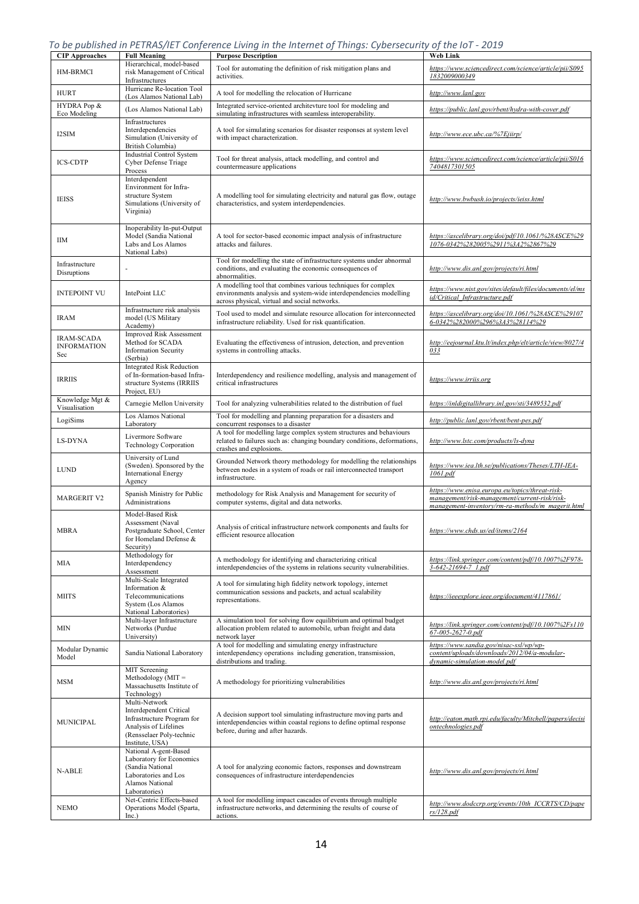|  | To be published in PETRAS/IET Conference Living in the Internet of Things: Cybersecurity of the IoT - 2019 |  |  |
|--|------------------------------------------------------------------------------------------------------------|--|--|
|  |                                                                                                            |  |  |

| <b>CIP Approaches</b>                          | <u>22 personaa : : : = : : : : 0, := : 00: : j</u><br><b>Full Meaning</b>                                                                      | <b>Purpose Description</b>                                                                                                                                                          | <b>Web Link</b>                                                                                                                                       |  |
|------------------------------------------------|------------------------------------------------------------------------------------------------------------------------------------------------|-------------------------------------------------------------------------------------------------------------------------------------------------------------------------------------|-------------------------------------------------------------------------------------------------------------------------------------------------------|--|
| HM-BRMCI                                       | Hierarchical, model-based<br>risk Management of Critical<br>Infrastructures                                                                    | Tool for automating the definition of risk mitigation plans and<br>activities.                                                                                                      | https://www.sciencedirect.com/science/article/pii/S095<br>1832009000349                                                                               |  |
| <b>HURT</b>                                    | Hurricane Re-location Tool<br>(Los Alamos National Lab)                                                                                        | A tool for modelling the relocation of Hurricane                                                                                                                                    | http://www.lanl.gov                                                                                                                                   |  |
| HYDRA Pop &<br>Eco Modeling                    | (Los Alamos National Lab)                                                                                                                      | Integrated service-oriented architevture tool for modeling and<br>simulating infrastructures with seamless interoperability.                                                        | https://public.lanl.gov/rbent/hydra-with-cover.pdf                                                                                                    |  |
| I2SIM                                          | Infrastructures<br>Interdependencies<br>Simulation (University of<br>British Columbia)                                                         | A tool for simulating scenarios for disaster responses at system level<br>with impact characterization.                                                                             | http://www.ece.ubc.ca/%7Ejiirp/                                                                                                                       |  |
| <b>ICS-CDTP</b>                                | Industrial Control System<br>Cyber Defense Triage<br>Process                                                                                   | Tool for threat analysis, attack modelling, and control and<br>countermeasure applications                                                                                          | https://www.sciencedirect.com/science/article/pii/S016<br>7404817301505                                                                               |  |
| <b>IEISS</b>                                   | Interdependent<br>Environment for Infra-<br>structure System<br>Simulations (University of<br>Virginia)                                        | A modelling tool for simulating electricity and natural gas flow, outage<br>characteristics, and system interdependencies.                                                          | http://www.bwbush.io/projects/ieiss.html                                                                                                              |  |
| ШM                                             | Inoperability In-put-Output<br>Model (Sandia National<br>Labs and Los Alamos<br>National Labs)                                                 | A tool for sector-based economic impact analysis of infrastructure<br>attacks and failures.                                                                                         | https://ascelibrary.org/doi/pdf/10.1061/%28ASCE%29<br>1076-0342%282005%2911%3A2%2867%29                                                               |  |
| Infrastructure<br>Disruptions                  |                                                                                                                                                | Tool for modelling the state of infrastructure systems under abnormal<br>conditions, and evaluating the economic consequences of<br>abnormalities.                                  | http://www.dis.anl.gov/projects/ri.html                                                                                                               |  |
| <b>INTEPOINT VU</b>                            | IntePoint LLC                                                                                                                                  | A modelling tool that combines various techniques for complex<br>environments analysis and system-wide interdependencies modelling<br>across physical, virtual and social networks. | https://www.nist.gov/sites/default/files/documents/el/ms<br>id/Critical Infrastructure.pdf                                                            |  |
| <b>IRAM</b>                                    | Infrastructure risk analysis<br>model (US Military<br>Academy)                                                                                 | Tool used to model and simulate resource allocation for interconnected<br>infrastructure reliability. Used for risk quantification.                                                 | https://ascelibrary.org/doi/10.1061/%28ASCE%29107<br>6-0342%282000%296%3A3%28114%29                                                                   |  |
| <b>IRAM-SCADA</b><br><b>INFORMATION</b><br>Sec | <b>Improved Risk Assessment</b><br>Method for SCADA<br><b>Information Security</b><br>(Serbia)                                                 | Evaluating the effectiveness of intrusion, detection, and prevention<br>systems in controlling attacks.                                                                             | http://eejournal.ktu.lt/index.php/elt/article/view/8027/4<br>033                                                                                      |  |
| <b>IRRIIS</b>                                  | <b>Integrated Risk Reduction</b><br>of In-formation-based Infra-<br>structure Systems (IRRIIS<br>Project, EU)                                  | Interdependency and resilience modelling, analysis and management of<br>critical infrastructures                                                                                    | https://www.irriis.org                                                                                                                                |  |
| Knowledge Mgt &<br>Visualisation               | Carnegie Mellon University                                                                                                                     | Tool for analyzing vulnerabilities related to the distribution of fuel                                                                                                              | https://inldigitallibrary.inl.gov/sti/3489532.pdf                                                                                                     |  |
| LogiSims                                       | Los Alamos National<br>Laboratory                                                                                                              | Tool for modelling and planning preparation for a disasters and<br>concurrent responses to a disaster                                                                               | http://public.lanl.gov/rbent/bent-pes.pdf                                                                                                             |  |
| <b>LS-DYNA</b>                                 | Livermore Software<br><b>Technology Corporation</b>                                                                                            | A tool for modelling large complex system structures and behaviours<br>related to failures such as: changing boundary conditions, deformations,<br>crashes and explosions.          | http://www.lstc.com/products/ls-dyna                                                                                                                  |  |
| <b>LUND</b>                                    | University of Lund<br>(Sweden). Sponsored by the<br>International Energy<br>Agency                                                             | Grounded Network theory methodology for modelling the relationships<br>between nodes in a system of roads or rail interconnected transport<br>infrastructure.                       | https://www.iea.lth.se/publications/Theses/LTH-IEA-<br>1061.pdf                                                                                       |  |
| <b>MARGERIT V2</b>                             | Spanish Ministry for Public<br>Administrations                                                                                                 | methodology for Risk Analysis and Management for security of<br>computer systems, digital and data networks.                                                                        | https://www.enisa.europa.eu/topics/threat-risk-<br>management/risk-management/current-risk/risk-<br>management-inventory/rm-ra-methods/m_magerit.html |  |
| <b>MBRA</b>                                    | Model-Based Risk<br>Assessment (Naval<br>Postgraduate School, Center<br>for Homeland Defense &<br>Security)                                    | Analysis of critical infrastructure network components and faults for<br>efficient resource allocation                                                                              | https://www.chds.us/ed/items/2164                                                                                                                     |  |
| MIA                                            | Methodology for<br>Interdependency<br>Assessment                                                                                               | A methodology for identifying and characterizing critical<br>interdependencies of the systems in relations security vulnerabilities.                                                | https://link.springer.com/content/pdf/10.1007%2F978-<br>3-642-21694-7 1.pdf                                                                           |  |
| <b>MIITS</b>                                   | Multi-Scale Integrated<br>Information &<br>Telecommunications<br>System (Los Alamos<br>National Laboratories)                                  | A tool for simulating high fidelity network topology, internet<br>communication sessions and packets, and actual scalability<br>representations.                                    | https://ieeexplore.ieee.org/document/4117861/                                                                                                         |  |
| MIN                                            | Multi-layer Infrastructure<br>Networks (Purdue<br>University)                                                                                  | A simulation tool for solving flow equilibrium and optimal budget<br>allocation problem related to automobile, urban freight and data<br>network layer                              | https://link.springer.com/content/pdf/10.1007%2Fs110<br>67-005-2627-0.pdf                                                                             |  |
| Modular Dynamic<br>Model                       | Sandia National Laboratory                                                                                                                     | A tool for modelling and simulating energy infrastructure<br>interdependency operations including generation, transmission,<br>distributions and trading.                           | https://www.sandia.gov/nisac-ssl/wp/wp-<br>content/uploads/downloads/2012/04/a-modular-<br>dynamic-simulation-model.pdf                               |  |
| <b>MSM</b>                                     | MIT Screening<br>Methodology ( $MIT =$<br>Massachusetts Institute of<br>Technology)                                                            | A methodology for prioritizing vulnerabilities                                                                                                                                      | http://www.dis.anl.gov/projects/ri.html                                                                                                               |  |
| <b>MUNICIPAL</b>                               | Multi-Network<br>Interdependent Critical<br>Infrastructure Program for<br>Analysis of Lifelines<br>(Rensselaer Poly-technic<br>Institute, USA) | A decision support tool simulating infrastructure moving parts and<br>interdependencies within coastal regions to define optimal response<br>before, during and after hazards.      | http://eaton.math.rpi.edu/faculty/Mitchell/papers/decisi<br>ontechnologies.pdf                                                                        |  |
| N-ABLE                                         | National A-gent-Based<br>Laboratory for Economics<br>(Sandia National<br>Laboratories and Los<br>Alamos National<br>Laboratories)              | A tool for analyzing economic factors, responses and downstream<br>consequences of infrastructure interdependencies                                                                 | http://www.dis.anl.gov/projects/ri.html                                                                                                               |  |
| <b>NEMO</b>                                    | Net-Centric Effects-based<br>Operations Model (Sparta,<br>Inc.)                                                                                | A tool for modelling impact cascades of events through multiple<br>infrastructure networks, and determining the results of course of<br>actions.                                    | http://www.dodccrp.org/events/10th ICCRTS/CD/pape<br>rs/128.pdf                                                                                       |  |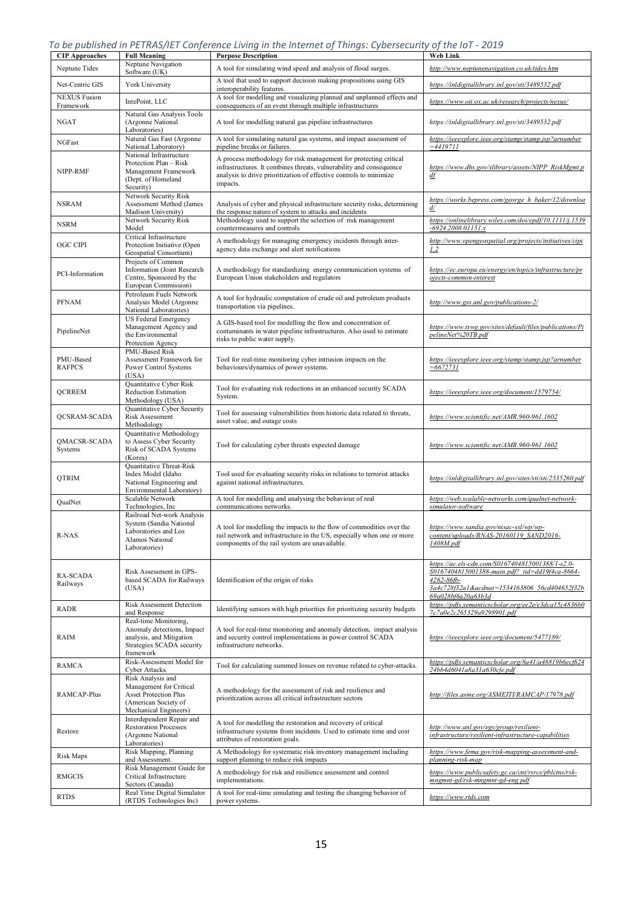*To be published in PETRAS/IET Conference Living in the Internet of Things: Cybersecurity of the IoT - 2019*

| <b>CIP Approaches</b>            | <b>Full Meaning</b>                                                                                                           | <b>Purpose Description</b>                                                                                                                                                                                                 | <b>Web Link</b>                                                                                                                                                                              |
|----------------------------------|-------------------------------------------------------------------------------------------------------------------------------|----------------------------------------------------------------------------------------------------------------------------------------------------------------------------------------------------------------------------|----------------------------------------------------------------------------------------------------------------------------------------------------------------------------------------------|
| Neptune Tides                    | Neptune Navigation<br>Software (UK)                                                                                           | A tool for simulating wind speed and analysis of flood surges.                                                                                                                                                             | http://www.neptunenavigation.co.uk/tides.htm                                                                                                                                                 |
| Net-Centric GIS                  | York University                                                                                                               | A tool that used to support decision making propositions using GIS<br>interoperability features.                                                                                                                           | https://inldigitallibrary.inl.gov/sti/3489532.pdf                                                                                                                                            |
| <b>NEXUS</b> Fusion<br>Framework | IntePoint, LLC                                                                                                                | A tool for modelling and visualizing planned and unplanned effects and<br>consequences of an event through multiple infrastructures                                                                                        | https://www.oii.ox.ac.uk/research/projects/nexus/                                                                                                                                            |
| NGAT                             | Natural Gas Analysis Tools<br>(Argonne National<br>Laboratories)                                                              | A tool for modelling natural gas pipeline infrastructures                                                                                                                                                                  | https://inldigitallibrary.inl.gov/sti/3489532.pdf                                                                                                                                            |
| NGFast                           | Natural Gas Fast (Argonne<br>National Laboratory)                                                                             | A tool for simulating natural gas systems, and impact assessment of<br>pipeline breaks or failures.                                                                                                                        | https://ieeexplore.ieee.org/stamp/stamp.jsp?arnumber<br>$=4419711$                                                                                                                           |
| NIPP-RMF                         | National Infrastructure<br>Protection Plan - Risk<br>Management Framework<br>(Dept. of Homeland<br>Security)                  | A process methodology for risk management for protecting critical<br>infrastructures. It combines threats, vulnerability and consequence<br>analysis to drive prioritization of effective controls to minimize<br>impacts. | https://www.dhs.gov/xlibrary/assets/NIPP_RiskMgmt.p<br>df                                                                                                                                    |
| NSRAM                            | Network Security Risk<br>Assessment Method (James<br>Madison University)                                                      | Analysis of cyber and physical infrastructure security risks, determining<br>the response nature of system to attacks and incidents                                                                                        | https://works.bepress.com/george h baker/12/downloa<br>d/                                                                                                                                    |
| <b>NSRM</b>                      | Network Security Risk<br>Model                                                                                                | Methodology used to support the selection of risk management<br>countermeasures and controls                                                                                                                               | https://onlinelibrary.wiley.com/doi/epdf/10.1111/j.1539<br>$-6924.2008.01151.x$                                                                                                              |
| <b>OGC CIPI</b>                  | Critical Infrastructure<br>Protection Initiative (Open<br>Geospatial Consortium)                                              | A methodology for managing emergency incidents through inter-<br>agency data exchange and alert notifications                                                                                                              | http://www.opengeospatial.org/projects/initiatives/cipi<br>1.2                                                                                                                               |
| PCI-Information                  | Projects of Common<br>Information (Joint Research<br>Centre, Sponsored by the<br>European Commission)                         | A methodology for standardizing energy communication systems of<br>European Union stakeholders and regulators                                                                                                              | https://ec.europa.eu/energy/en/topics/infrastructure/pr<br>ojects-common-interest                                                                                                            |
| <b>PFNAM</b>                     | Petroleum Fuels Network<br>Analysis Model (Argonne<br>National Laboratories)                                                  | A tool for hydraulic computation of crude oil and petroleum products<br>transportation via pipelines.                                                                                                                      | http://www.gss.anl.gov/publications-2/                                                                                                                                                       |
| PipelineNet                      | US Federal Emergency<br>Management Agency and<br>the Environmental<br>Protection Agency                                       | A GIS-based tool for modelling the flow and concentration of<br>contaminants in water pipeline infrastructures. Also used to estimate<br>risks to public water supply.                                                     | https://www.tswg.gov/sites/default/files/publications/Pi<br>pelineNet%20TB.pdf                                                                                                               |
| PMU-Based<br><b>RAFPCS</b>       | PMU-Based Risk<br>Assessment Framework for<br>Power Control Systems<br>(USA)                                                  | Tool for real-time monitoring cyber intrusion impacts on the<br>behaviours/dynamics of power systems.                                                                                                                      | https://ieeexplore.ieee.org/stamp/stamp.jsp?arnumber<br>$=6672731$                                                                                                                           |
| QCRREM                           | Quantitative Cyber Risk<br><b>Reduction Estimation</b><br>Methodology (USA)                                                   | Tool for evaluating risk reductions in an enhanced security SCADA<br>System.                                                                                                                                               | https://ieeexplore.ieee.org/document/1579754/                                                                                                                                                |
| QCSRAM-SCADA                     | Quantitative Cyber Security<br>Risk Assessment<br>Methodology                                                                 | Tool for assessing vulnerabilities from historic data related to threats,<br>asset value, and outage costs                                                                                                                 | https://www.scientific.net/AMR.960-961.1602                                                                                                                                                  |
| QMACSR-SCADA<br>Systems          | Quantitative Methodology<br>to Assess Cyber Security<br>Risk of SCADA Systems<br>(Korea)                                      | Tool for calculating cyber threats expected damage                                                                                                                                                                         | https://www.scientific.net/AMR.960-961.1602                                                                                                                                                  |
| QTRIM                            | <b>Quantitative Threat-Risk</b><br>Index Model (Idaho<br>National Engineering and<br>Environmental Laboratory)                | Tool used for evaluating security risks in relations to terrorist attacks<br>against national infrastructures.                                                                                                             | https://inldigitallibrary.inl.gov/sites/sti/sti/2535260.pdf                                                                                                                                  |
| QualNet                          | Scalable Network<br>Technologies, Inc                                                                                         | A tool for modelling and analysing the behaviour of real<br>communications networks.                                                                                                                                       | https://web.scalable-networks.com/qualnet-network-<br>simulator-software                                                                                                                     |
| R-NAS                            | Railroad Net-work Analysis<br>System (Sandia National<br>Laboratories and Los<br>Alamos National<br>Laboratories)             | A tool for modelling the impacts to the flow of commodities over the<br>rail network and infrastructure in the US, especially when one or more<br>components of the rail system are unavailable.                           | https://www.sandia.gov/nisac-ssl/wp/wp-<br>content/uploads/RNAS-20160119_SAND2016-<br>1408M.pdf                                                                                              |
| <b>RA-SCADA</b><br>Railways      | Risk Assessment in GPS-<br>based SCADA for Railways<br>(USA)                                                                  | Identification of the origin of risks                                                                                                                                                                                      | https://ac.els-cdn.com/S0167404815001388/1-s2.0-<br>S0167404815001388-main.pdf? tid=dd19f4ca-8664-<br>$4262 - 86fb -$<br>3a4c728f32a1&acdnat=1534163806 56cd404652f32b<br>69a028bf6a20a63b3d |
| RADR                             | Risk Assessment Detection<br>and Response                                                                                     | Identifying sensors with high priorities for prioritizing security budgets                                                                                                                                                 | https://pdfs.semanticscholar.org/ee2e/e3dca15c4836b0<br>7c7a0e2c265329a9298901.pdf                                                                                                           |
| RAIM                             | Real-time Monitoring,<br>Anomaly detections, Impact<br>analysis, and Mitigation<br>Strategies SCADA security<br>framework     | A tool for real-time monitoring and anomaly detection, impact analysis<br>and security control implementations in power control SCADA<br>infrastructure networks.                                                          | https://ieeexplore.ieee.org/document/5477189/                                                                                                                                                |
| <b>RAMCA</b>                     | Risk-Assessment Model for<br>Cyber Attacks.                                                                                   | Tool for calculating summed losses on revenue related to cyber-attacks.                                                                                                                                                    | https://pdfs.semanticscholar.org/8a41/a48819b6ecf624<br>24bb4d6041a8a31a630cfe.pdf                                                                                                           |
| RAMCAP-Plus                      | Risk Analysis and<br>Management for Critical<br><b>Asset Protection Plus</b><br>(American Society of<br>Mechanical Engineers) | A methodology for the assessment of risk and resilience and<br>prioritization across all critical infrastructure sectors                                                                                                   | http://files.asme.org/ASMEITI/RAMCAP/17978.pdf                                                                                                                                               |
| Restore                          | Interdependent Repair and<br><b>Restoration Processes</b><br>(Argonne National<br>Laboratories)                               | A tool for modelling the restoration and recovery of critical<br>infrastructure systems from incidents. Used to estimate time and cost<br>attributes of restoration goals.                                                 | http://www.anl.gov/egs/group/resilient-<br>infrastructure/resilient-infrastructure-capabilities                                                                                              |
| Risk Maps                        | Risk Mapping, Planning<br>and Assessment.                                                                                     | A Methodology for systematic risk inventory management including<br>support planning to reduce risk impacts                                                                                                                | https://www.fema.gov/risk-mapping-assessment-and-<br>planning-risk-map                                                                                                                       |
| <b>RMGCIS</b>                    | Risk Management Guide for<br>Critical Infrastructure<br>Sectors (Canada)                                                      | A methodology for risk and resilience assessment and control<br>implementations.                                                                                                                                           | https://www.publicsafety.gc.ca/cnt/rsrcs/pblctns/rsk-<br>mngmnt-gd/rsk-mngmnt-gd-eng.pdf                                                                                                     |
| <b>RTDS</b>                      | Real Time Digital Simulator<br>(RTDS Technologies Inc)                                                                        | A tool for real-time simulating and testing the changing behavior of<br>power systems.                                                                                                                                     | https://www.rtds.com                                                                                                                                                                         |